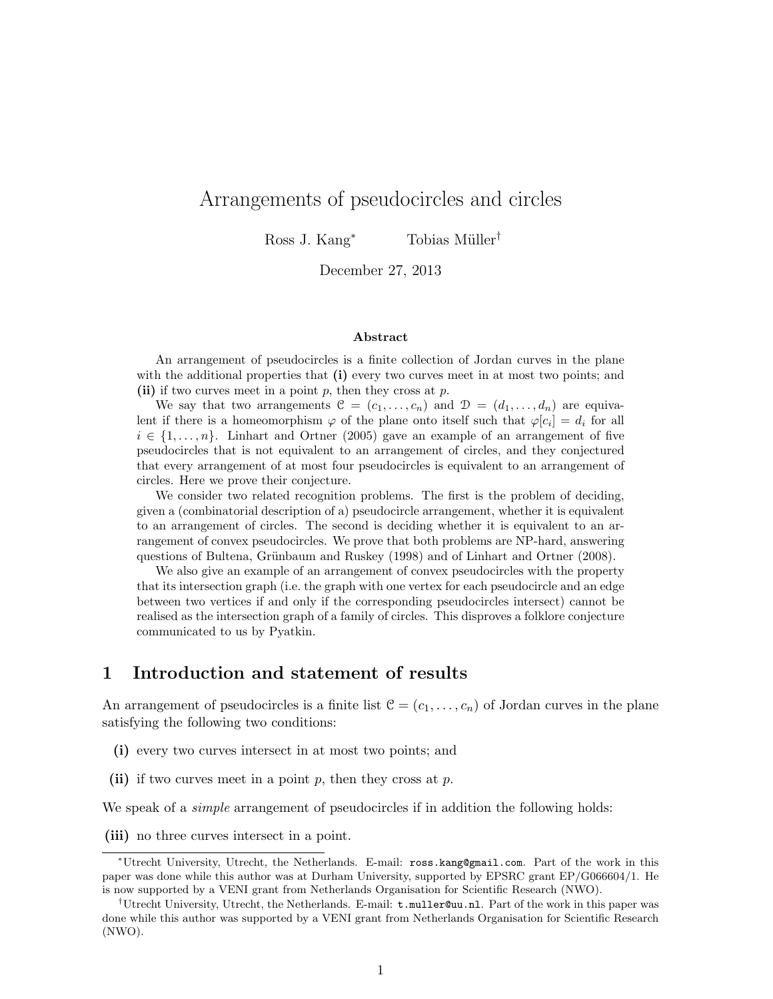# Arrangements of pseudocircles and circles

Ross J. Kang<sup>\*</sup> Tobias Müller<sup>†</sup>

December 27, 2013

#### Abstract

An arrangement of pseudocircles is a finite collection of Jordan curves in the plane with the additional properties that  $(i)$  every two curves meet in at most two points; and (ii) if two curves meet in a point  $p$ , then they cross at  $p$ .

We say that two arrangements  $\mathcal{C} = (c_1, \ldots, c_n)$  and  $\mathcal{D} = (d_1, \ldots, d_n)$  are equivalent if there is a homeomorphism  $\varphi$  of the plane onto itself such that  $\varphi[c_i] = d_i$  for all  $i \in \{1, \ldots, n\}$ . Linhart and Ortner (2005) gave an example of an arrangement of five pseudocircles that is not equivalent to an arrangement of circles, and they conjectured that every arrangement of at most four pseudocircles is equivalent to an arrangement of circles. Here we prove their conjecture.

We consider two related recognition problems. The first is the problem of deciding, given a (combinatorial description of a) pseudocircle arrangement, whether it is equivalent to an arrangement of circles. The second is deciding whether it is equivalent to an arrangement of convex pseudocircles. We prove that both problems are NP-hard, answering questions of Bultena, Grünbaum and Ruskey (1998) and of Linhart and Ortner (2008).

We also give an example of an arrangement of convex pseudocircles with the property that its intersection graph (i.e. the graph with one vertex for each pseudocircle and an edge between two vertices if and only if the corresponding pseudocircles intersect) cannot be realised as the intersection graph of a family of circles. This disproves a folklore conjecture communicated to us by Pyatkin.

## 1 Introduction and statement of results

An arrangement of pseudocircles is a finite list  $C = (c_1, \ldots, c_n)$  of Jordan curves in the plane satisfying the following two conditions:

- (i) every two curves intersect in at most two points; and
- (ii) if two curves meet in a point  $p$ , then they cross at  $p$ .

We speak of a *simple* arrangement of pseudocircles if in addition the following holds:

(iii) no three curves intersect in a point.

<sup>∗</sup>Utrecht University, Utrecht, the Netherlands. E-mail: ross.kang@gmail.com. Part of the work in this paper was done while this author was at Durham University, supported by EPSRC grant EP/G066604/1. He is now supported by a VENI grant from Netherlands Organisation for Scientific Research (NWO).

<sup>†</sup>Utrecht University, Utrecht, the Netherlands. E-mail: t.muller@uu.nl. Part of the work in this paper was done while this author was supported by a VENI grant from Netherlands Organisation for Scientific Research (NWO).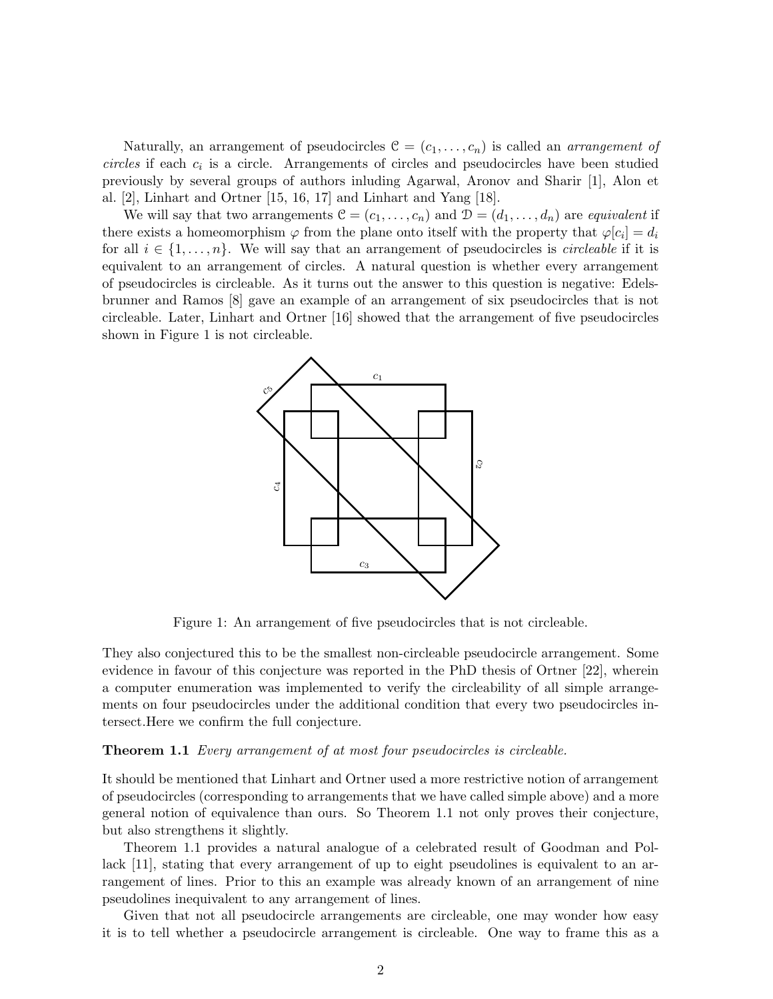Naturally, an arrangement of pseudocircles  $\mathcal{C} = (c_1, \ldots, c_n)$  is called an *arrangement of*  $circles$  if each  $c_i$  is a circle. Arrangements of circles and pseudocircles have been studied previously by several groups of authors inluding Agarwal, Aronov and Sharir [1], Alon et al. [2], Linhart and Ortner [15, 16, 17] and Linhart and Yang [18].

We will say that two arrangements  $\mathcal{C} = (c_1, \ldots, c_n)$  and  $\mathcal{D} = (d_1, \ldots, d_n)$  are equivalent if there exists a homeomorphism  $\varphi$  from the plane onto itself with the property that  $\varphi[c_i] = d_i$ for all  $i \in \{1, \ldots, n\}$ . We will say that an arrangement of pseudocircles is *circleable* if it is equivalent to an arrangement of circles. A natural question is whether every arrangement of pseudocircles is circleable. As it turns out the answer to this question is negative: Edelsbrunner and Ramos [8] gave an example of an arrangement of six pseudocircles that is not circleable. Later, Linhart and Ortner [16] showed that the arrangement of five pseudocircles shown in Figure 1 is not circleable.



Figure 1: An arrangement of five pseudocircles that is not circleable.

They also conjectured this to be the smallest non-circleable pseudocircle arrangement. Some evidence in favour of this conjecture was reported in the PhD thesis of Ortner [22], wherein a computer enumeration was implemented to verify the circleability of all simple arrangements on four pseudocircles under the additional condition that every two pseudocircles intersect.Here we confirm the full conjecture.

#### **Theorem 1.1** Every arrangement of at most four pseudocircles is circleable.

It should be mentioned that Linhart and Ortner used a more restrictive notion of arrangement of pseudocircles (corresponding to arrangements that we have called simple above) and a more general notion of equivalence than ours. So Theorem 1.1 not only proves their conjecture, but also strengthens it slightly.

Theorem 1.1 provides a natural analogue of a celebrated result of Goodman and Pollack [11], stating that every arrangement of up to eight pseudolines is equivalent to an arrangement of lines. Prior to this an example was already known of an arrangement of nine pseudolines inequivalent to any arrangement of lines.

Given that not all pseudocircle arrangements are circleable, one may wonder how easy it is to tell whether a pseudocircle arrangement is circleable. One way to frame this as a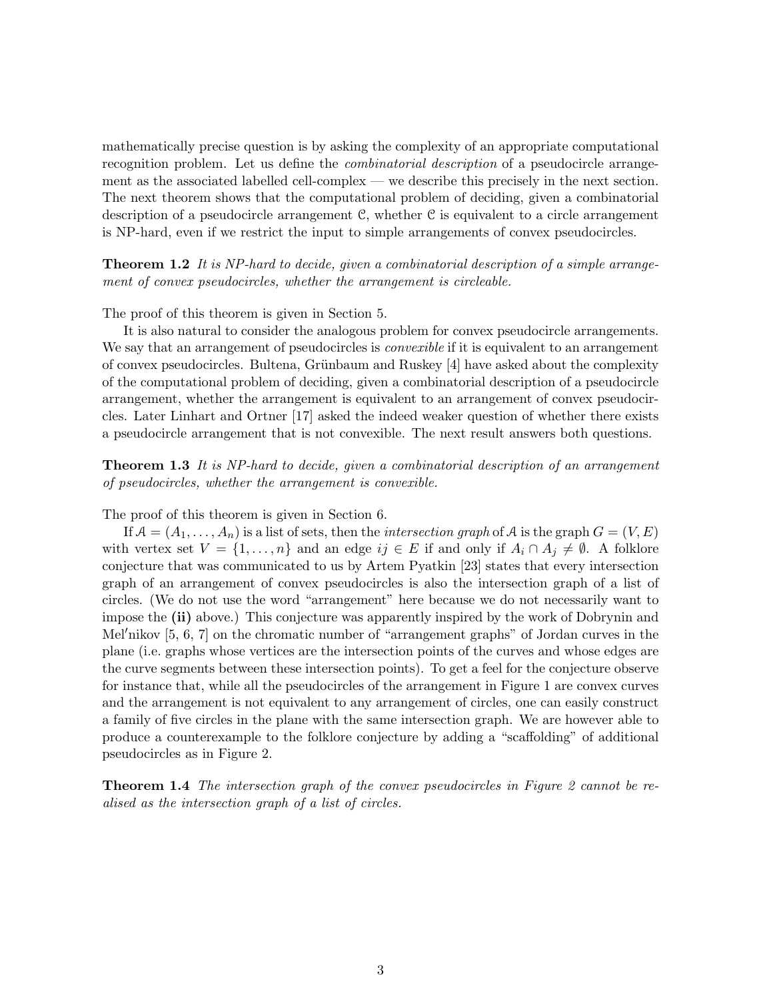mathematically precise question is by asking the complexity of an appropriate computational recognition problem. Let us define the *combinatorial description* of a pseudocircle arrangement as the associated labelled cell-complex — we describe this precisely in the next section. The next theorem shows that the computational problem of deciding, given a combinatorial description of a pseudocircle arrangement C, whether C is equivalent to a circle arrangement is NP-hard, even if we restrict the input to simple arrangements of convex pseudocircles.

**Theorem 1.2** It is NP-hard to decide, given a combinatorial description of a simple arrangement of convex pseudocircles, whether the arrangement is circleable.

The proof of this theorem is given in Section 5.

It is also natural to consider the analogous problem for convex pseudocircle arrangements. We say that an arrangement of pseudocircles is *convexible* if it is equivalent to an arrangement of convex pseudocircles. Bultena, Grünbaum and Ruskey [4] have asked about the complexity of the computational problem of deciding, given a combinatorial description of a pseudocircle arrangement, whether the arrangement is equivalent to an arrangement of convex pseudocircles. Later Linhart and Ortner [17] asked the indeed weaker question of whether there exists a pseudocircle arrangement that is not convexible. The next result answers both questions.

**Theorem 1.3** It is NP-hard to decide, given a combinatorial description of an arrangement of pseudocircles, whether the arrangement is convexible.

The proof of this theorem is given in Section 6.

If  $A = (A_1, \ldots, A_n)$  is a list of sets, then the *intersection graph* of A is the graph  $G = (V, E)$ with vertex set  $V = \{1, \ldots, n\}$  and an edge  $ij \in E$  if and only if  $A_i \cap A_j \neq \emptyset$ . A folklore conjecture that was communicated to us by Artem Pyatkin [23] states that every intersection graph of an arrangement of convex pseudocircles is also the intersection graph of a list of circles. (We do not use the word "arrangement" here because we do not necessarily want to impose the (ii) above.) This conjecture was apparently inspired by the work of Dobrynin and Mel'nikov  $[5, 6, 7]$  on the chromatic number of "arrangement graphs" of Jordan curves in the plane (i.e. graphs whose vertices are the intersection points of the curves and whose edges are the curve segments between these intersection points). To get a feel for the conjecture observe for instance that, while all the pseudocircles of the arrangement in Figure 1 are convex curves and the arrangement is not equivalent to any arrangement of circles, one can easily construct a family of five circles in the plane with the same intersection graph. We are however able to produce a counterexample to the folklore conjecture by adding a "scaffolding" of additional pseudocircles as in Figure 2.

**Theorem 1.4** The intersection graph of the convex pseudocircles in Figure 2 cannot be realised as the intersection graph of a list of circles.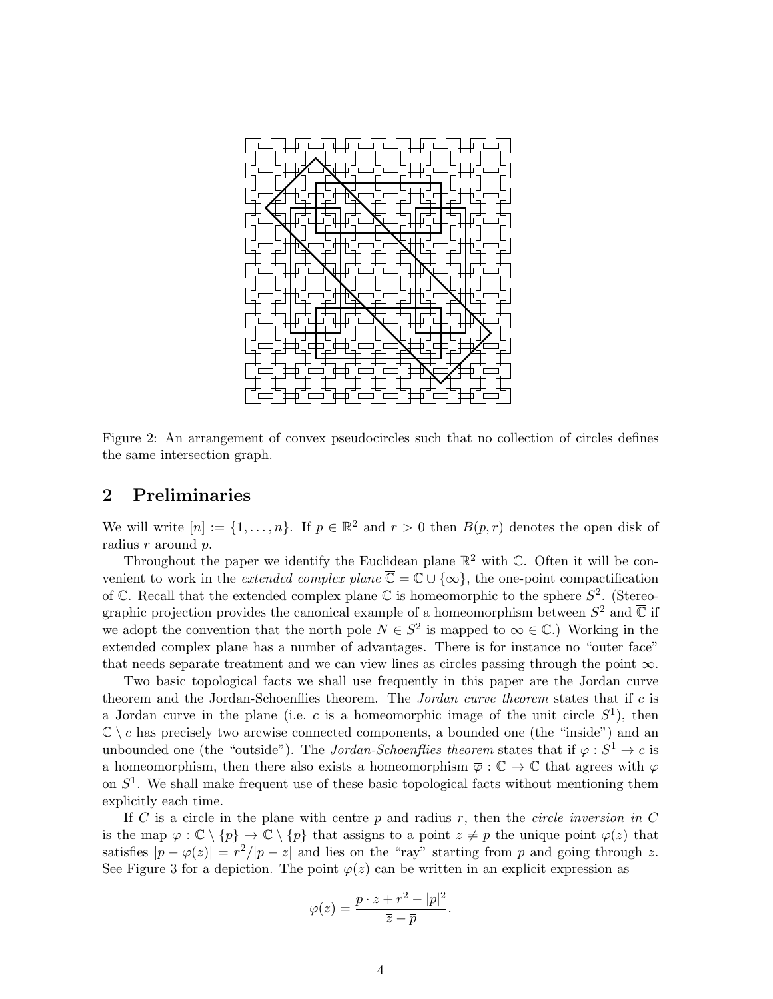

Figure 2: An arrangement of convex pseudocircles such that no collection of circles defines the same intersection graph.

# 2 Preliminaries

We will write  $[n] := \{1, \ldots, n\}$ . If  $p \in \mathbb{R}^2$  and  $r > 0$  then  $B(p, r)$  denotes the open disk of radius r around p.

Throughout the paper we identify the Euclidean plane  $\mathbb{R}^2$  with C. Often it will be convenient to work in the *extended complex plane*  $\overline{\mathbb{C}} = \mathbb{C} \cup \{\infty\}$ , the one-point compactification of C. Recall that the extended complex plane  $\overline{C}$  is homeomorphic to the sphere  $S^2$ . (Stereographic projection provides the canonical example of a homeomorphism between  $S^2$  and  $\overline{\mathbb{C}}$  if we adopt the convention that the north pole  $N \in S^2$  is mapped to  $\infty \in \overline{C}$ .) Working in the extended complex plane has a number of advantages. There is for instance no "outer face" that needs separate treatment and we can view lines as circles passing through the point  $\infty$ .

Two basic topological facts we shall use frequently in this paper are the Jordan curve theorem and the Jordan-Schoenflies theorem. The Jordan curve theorem states that if c is a Jordan curve in the plane (i.e. c is a homeomorphic image of the unit circle  $S^1$ ), then  $\mathbb{C} \setminus c$  has precisely two arcwise connected components, a bounded one (the "inside") and an unbounded one (the "outside"). The Jordan-Schoenflies theorem states that if  $\varphi : S^1 \to c$  is a homeomorphism, then there also exists a homeomorphism  $\overline{\varphi} : \mathbb{C} \to \mathbb{C}$  that agrees with  $\varphi$ on  $S<sup>1</sup>$ . We shall make frequent use of these basic topological facts without mentioning them explicitly each time.

If C is a circle in the plane with centre  $p$  and radius  $r$ , then the *circle inversion in* C is the map  $\varphi : \mathbb{C} \setminus \{p\} \to \mathbb{C} \setminus \{p\}$  that assigns to a point  $z \neq p$  the unique point  $\varphi(z)$  that satisfies  $|p - \varphi(z)| = r^2/|p - z|$  and lies on the "ray" starting from p and going through z. See Figure 3 for a depiction. The point  $\varphi(z)$  can be written in an explicit expression as

$$
\varphi(z) = \frac{p \cdot \overline{z} + r^2 - |p|^2}{\overline{z} - \overline{p}}.
$$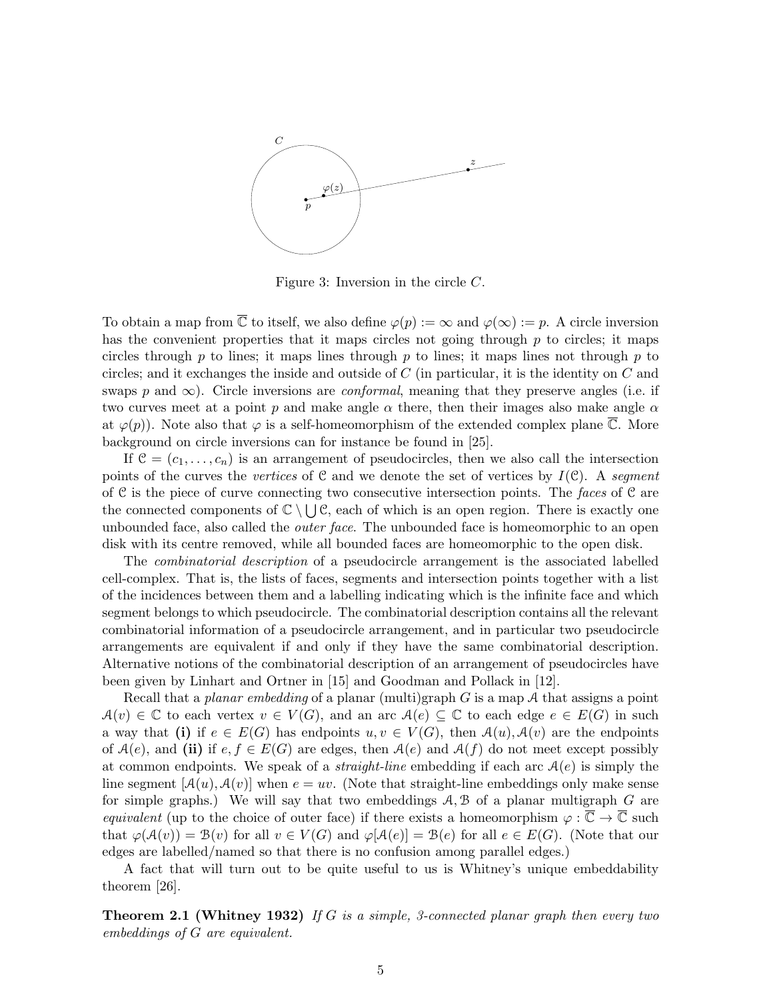

Figure 3: Inversion in the circle C.

To obtain a map from  $\overline{\mathbb{C}}$  to itself, we also define  $\varphi(p) := \infty$  and  $\varphi(\infty) := p$ . A circle inversion has the convenient properties that it maps circles not going through  $p$  to circles; it maps circles through p to lines; it maps lines through p to lines; it maps lines not through p to circles; and it exchanges the inside and outside of  $C$  (in particular, it is the identity on  $C$  and swaps p and  $\infty$ ). Circle inversions are *conformal*, meaning that they preserve angles (i.e. if two curves meet at a point p and make angle  $\alpha$  there, then their images also make angle  $\alpha$ at  $\varphi(p)$ ). Note also that  $\varphi$  is a self-homeomorphism of the extended complex plane  $\mathbb{C}$ . More background on circle inversions can for instance be found in [25].

If  $\mathcal{C} = (c_1, \ldots, c_n)$  is an arrangement of pseudocircles, then we also call the intersection points of the curves the vertices of C and we denote the set of vertices by  $I(\mathcal{C})$ . A segment of C is the piece of curve connecting two consecutive intersection points. The faces of C are the connected components of  $\mathbb{C} \setminus \bigcup \mathcal{C}$ , each of which is an open region. There is exactly one unbounded face, also called the *outer face*. The unbounded face is homeomorphic to an open disk with its centre removed, while all bounded faces are homeomorphic to the open disk.

The combinatorial description of a pseudocircle arrangement is the associated labelled cell-complex. That is, the lists of faces, segments and intersection points together with a list of the incidences between them and a labelling indicating which is the infinite face and which segment belongs to which pseudocircle. The combinatorial description contains all the relevant combinatorial information of a pseudocircle arrangement, and in particular two pseudocircle arrangements are equivalent if and only if they have the same combinatorial description. Alternative notions of the combinatorial description of an arrangement of pseudocircles have been given by Linhart and Ortner in [15] and Goodman and Pollack in [12].

Recall that a planar embedding of a planar (multi)graph G is a map A that assigns a point  $A(v) \in \mathbb{C}$  to each vertex  $v \in V(G)$ , and an arc  $A(e) \subseteq \mathbb{C}$  to each edge  $e \in E(G)$  in such a way that (i) if  $e \in E(G)$  has endpoints  $u, v \in V(G)$ , then  $\mathcal{A}(u), \mathcal{A}(v)$  are the endpoints of  $\mathcal{A}(e)$ , and (ii) if  $e, f \in E(G)$  are edges, then  $\mathcal{A}(e)$  and  $\mathcal{A}(f)$  do not meet except possibly at common endpoints. We speak of a *straight-line* embedding if each arc  $A(e)$  is simply the line segment  $[A(u), A(v)]$  when  $e = uv$ . (Note that straight-line embeddings only make sense for simple graphs.) We will say that two embeddings  $A, B$  of a planar multigraph  $G$  are equivalent (up to the choice of outer face) if there exists a homeomorphism  $\varphi : \overline{\mathbb{C}} \to \overline{\mathbb{C}}$  such that  $\varphi(\mathcal{A}(v)) = \mathcal{B}(v)$  for all  $v \in V(G)$  and  $\varphi[\mathcal{A}(e)] = \mathcal{B}(e)$  for all  $e \in E(G)$ . (Note that our edges are labelled/named so that there is no confusion among parallel edges.)

A fact that will turn out to be quite useful to us is Whitney's unique embeddability theorem [26].

**Theorem 2.1 (Whitney 1932)** If G is a simple, 3-connected planar graph then every two embeddings of G are equivalent.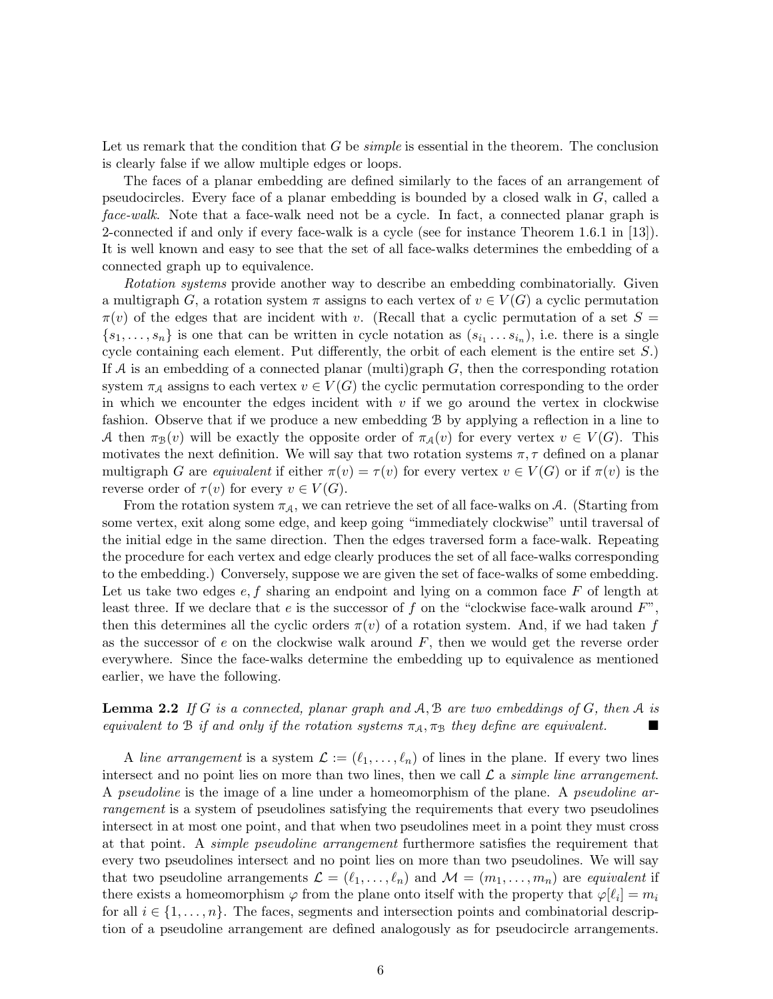Let us remark that the condition that G be *simple* is essential in the theorem. The conclusion is clearly false if we allow multiple edges or loops.

The faces of a planar embedding are defined similarly to the faces of an arrangement of pseudocircles. Every face of a planar embedding is bounded by a closed walk in G, called a face-walk. Note that a face-walk need not be a cycle. In fact, a connected planar graph is 2-connected if and only if every face-walk is a cycle (see for instance Theorem 1.6.1 in [13]). It is well known and easy to see that the set of all face-walks determines the embedding of a connected graph up to equivalence.

Rotation systems provide another way to describe an embedding combinatorially. Given a multigraph G, a rotation system  $\pi$  assigns to each vertex of  $v \in V(G)$  a cyclic permutation  $\pi(v)$  of the edges that are incident with v. (Recall that a cyclic permutation of a set  $S =$  $\{s_1, \ldots, s_n\}$  is one that can be written in cycle notation as  $(s_{i_1} \ldots s_{i_n})$ , i.e. there is a single cycle containing each element. Put differently, the orbit of each element is the entire set S.) If A is an embedding of a connected planar (multi)graph  $G$ , then the corresponding rotation system  $\pi_A$  assigns to each vertex  $v \in V(G)$  the cyclic permutation corresponding to the order in which we encounter the edges incident with  $v$  if we go around the vertex in clockwise fashion. Observe that if we produce a new embedding B by applying a reflection in a line to A then  $\pi_{\mathcal{B}}(v)$  will be exactly the opposite order of  $\pi_{\mathcal{A}}(v)$  for every vertex  $v \in V(G)$ . This motivates the next definition. We will say that two rotation systems  $\pi, \tau$  defined on a planar multigraph G are equivalent if either  $\pi(v) = \tau(v)$  for every vertex  $v \in V(G)$  or if  $\pi(v)$  is the reverse order of  $\tau(v)$  for every  $v \in V(G)$ .

From the rotation system  $\pi_A$ , we can retrieve the set of all face-walks on A. (Starting from some vertex, exit along some edge, and keep going "immediately clockwise" until traversal of the initial edge in the same direction. Then the edges traversed form a face-walk. Repeating the procedure for each vertex and edge clearly produces the set of all face-walks corresponding to the embedding.) Conversely, suppose we are given the set of face-walks of some embedding. Let us take two edges  $e, f$  sharing an endpoint and lying on a common face  $F$  of length at least three. If we declare that e is the successor of f on the "clockwise face-walk around  $F$ ", then this determines all the cyclic orders  $\pi(v)$  of a rotation system. And, if we had taken f as the successor of  $e$  on the clockwise walk around  $F$ , then we would get the reverse order everywhere. Since the face-walks determine the embedding up to equivalence as mentioned earlier, we have the following.

**Lemma 2.2** If G is a connected, planar graph and  $A, B$  are two embeddings of G, then A is equivalent to B if and only if the rotation systems  $\pi_A, \pi_B$  they define are equivalent.

A line arrangement is a system  $\mathcal{L} := (\ell_1, \ldots, \ell_n)$  of lines in the plane. If every two lines intersect and no point lies on more than two lines, then we call  $\mathcal L$  a simple line arrangement. A *pseudoline* is the image of a line under a homeomorphism of the plane. A *pseudoline ar*rangement is a system of pseudolines satisfying the requirements that every two pseudolines intersect in at most one point, and that when two pseudolines meet in a point they must cross at that point. A simple pseudoline arrangement furthermore satisfies the requirement that every two pseudolines intersect and no point lies on more than two pseudolines. We will say that two pseudoline arrangements  $\mathcal{L} = (\ell_1, \ldots, \ell_n)$  and  $\mathcal{M} = (m_1, \ldots, m_n)$  are equivalent if there exists a homeomorphism  $\varphi$  from the plane onto itself with the property that  $\varphi[\ell_i] = m_i$ for all  $i \in \{1, \ldots, n\}$ . The faces, segments and intersection points and combinatorial description of a pseudoline arrangement are defined analogously as for pseudocircle arrangements.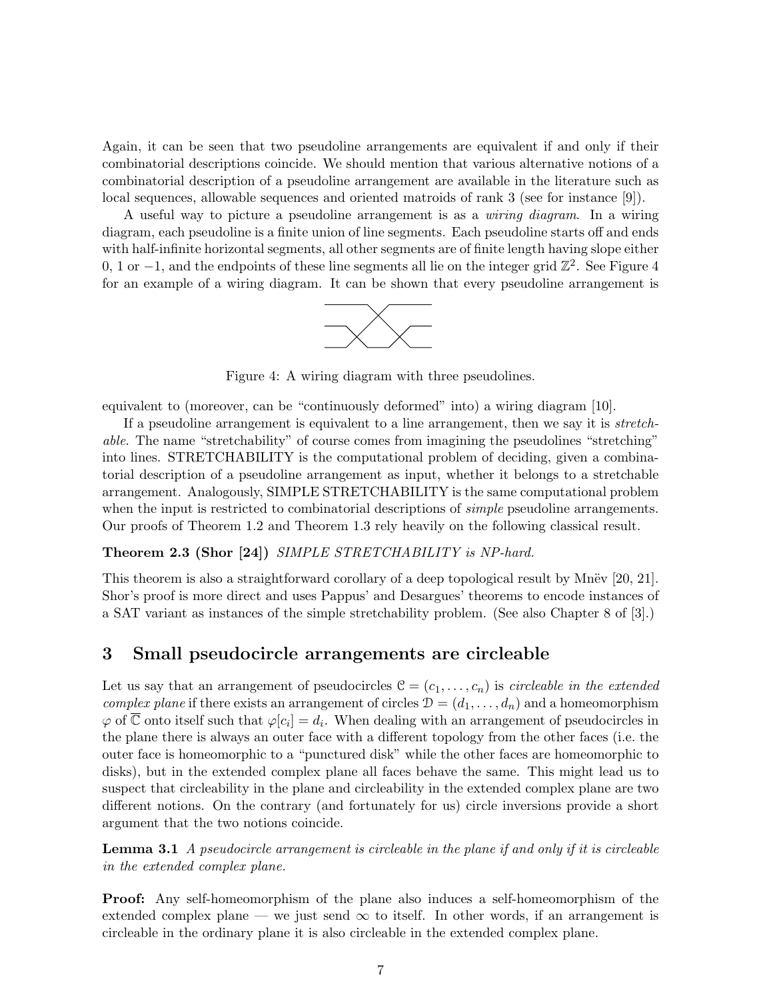Again, it can be seen that two pseudoline arrangements are equivalent if and only if their combinatorial descriptions coincide. We should mention that various alternative notions of a combinatorial description of a pseudoline arrangement are available in the literature such as local sequences, allowable sequences and oriented matroids of rank 3 (see for instance [9]).

A useful way to picture a pseudoline arrangement is as a wiring diagram. In a wiring diagram, each pseudoline is a finite union of line segments. Each pseudoline starts off and ends with half-infinite horizontal segments, all other segments are of finite length having slope either 0, 1 or  $-1$ , and the endpoints of these line segments all lie on the integer grid  $\mathbb{Z}^2$ . See Figure 4 for an example of a wiring diagram. It can be shown that every pseudoline arrangement is



Figure 4: A wiring diagram with three pseudolines.

equivalent to (moreover, can be "continuously deformed" into) a wiring diagram [10].

If a pseudoline arrangement is equivalent to a line arrangement, then we say it is stretchable. The name "stretchability" of course comes from imagining the pseudolines "stretching" into lines. STRETCHABILITY is the computational problem of deciding, given a combinatorial description of a pseudoline arrangement as input, whether it belongs to a stretchable arrangement. Analogously, SIMPLE STRETCHABILITY is the same computational problem when the input is restricted to combinatorial descriptions of *simple* pseudoline arrangements. Our proofs of Theorem 1.2 and Theorem 1.3 rely heavily on the following classical result.

#### **Theorem 2.3 (Shor [24])** SIMPLE STRETCHABILITY is NP-hard.

This theorem is also a straightforward corollary of a deep topological result by Mnev  $[20, 21]$ . Shor's proof is more direct and uses Pappus' and Desargues' theorems to encode instances of a SAT variant as instances of the simple stretchability problem. (See also Chapter 8 of [3].)

## 3 Small pseudocircle arrangements are circleable

Let us say that an arrangement of pseudocircles  $\mathcal{C} = (c_1, \ldots, c_n)$  is *circleable in the extended complex plane* if there exists an arrangement of circles  $\mathcal{D} = (d_1, \ldots, d_n)$  and a homeomorphism  $\varphi$  of  $\overline{\mathbb{C}}$  onto itself such that  $\varphi[c_i] = d_i$ . When dealing with an arrangement of pseudocircles in the plane there is always an outer face with a different topology from the other faces (i.e. the outer face is homeomorphic to a "punctured disk" while the other faces are homeomorphic to disks), but in the extended complex plane all faces behave the same. This might lead us to suspect that circleability in the plane and circleability in the extended complex plane are two different notions. On the contrary (and fortunately for us) circle inversions provide a short argument that the two notions coincide.

**Lemma 3.1** A pseudocircle arrangement is circleable in the plane if and only if it is circleable in the extended complex plane.

Proof: Any self-homeomorphism of the plane also induces a self-homeomorphism of the extended complex plane — we just send  $\infty$  to itself. In other words, if an arrangement is circleable in the ordinary plane it is also circleable in the extended complex plane.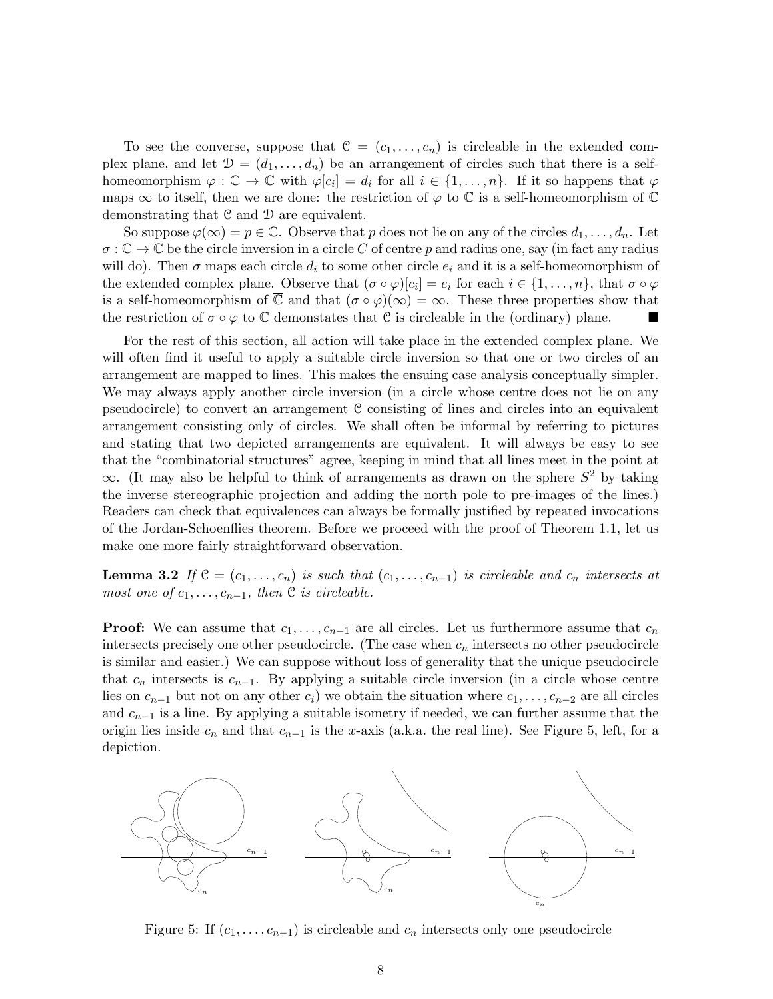To see the converse, suppose that  $\mathcal{C} = (c_1, \ldots, c_n)$  is circleable in the extended complex plane, and let  $\mathcal{D} = (d_1, \ldots, d_n)$  be an arrangement of circles such that there is a selfhomeomorphism  $\varphi : \overline{\mathbb{C}} \to \overline{\mathbb{C}}$  with  $\varphi[c_i] = d_i$  for all  $i \in \{1, \ldots, n\}$ . If it so happens that  $\varphi$ maps  $\infty$  to itself, then we are done: the restriction of  $\varphi$  to  $\mathbb C$  is a self-homeomorphism of  $\mathbb C$ demonstrating that C and D are equivalent.

So suppose  $\varphi(\infty) = p \in \mathbb{C}$ . Observe that p does not lie on any of the circles  $d_1, \ldots, d_n$ . Let  $\sigma : \overline{\mathbb{C}} \to \overline{\mathbb{C}}$  be the circle inversion in a circle C of centre p and radius one, say (in fact any radius will do). Then  $\sigma$  maps each circle  $d_i$  to some other circle  $e_i$  and it is a self-homeomorphism of the extended complex plane. Observe that  $(\sigma \circ \varphi)[c_i] = e_i$  for each  $i \in \{1, \ldots, n\}$ , that  $\sigma \circ \varphi$ is a self-homeomorphism of  $\overline{\mathbb{C}}$  and that  $(\sigma \circ \varphi)(\infty) = \infty$ . These three properties show that the restriction of  $\sigma \circ \varphi$  to  $\mathbb C$  demonstates that  $\mathbb C$  is circleable in the (ordinary) plane.

For the rest of this section, all action will take place in the extended complex plane. We will often find it useful to apply a suitable circle inversion so that one or two circles of an arrangement are mapped to lines. This makes the ensuing case analysis conceptually simpler. We may always apply another circle inversion (in a circle whose centre does not lie on any pseudocircle) to convert an arrangement C consisting of lines and circles into an equivalent arrangement consisting only of circles. We shall often be informal by referring to pictures and stating that two depicted arrangements are equivalent. It will always be easy to see that the "combinatorial structures" agree, keeping in mind that all lines meet in the point at  $\infty$ . (It may also be helpful to think of arrangements as drawn on the sphere  $S^2$  by taking the inverse stereographic projection and adding the north pole to pre-images of the lines.) Readers can check that equivalences can always be formally justified by repeated invocations of the Jordan-Schoenflies theorem. Before we proceed with the proof of Theorem 1.1, let us make one more fairly straightforward observation.

**Lemma 3.2** If  $\mathcal{C} = (c_1, \ldots, c_n)$  is such that  $(c_1, \ldots, c_{n-1})$  is circleable and  $c_n$  intersects at most one of  $c_1, \ldots, c_{n-1}$ , then  $\mathfrak C$  is circleable.

**Proof:** We can assume that  $c_1, \ldots, c_{n-1}$  are all circles. Let us furthermore assume that  $c_n$ intersects precisely one other pseudocircle. (The case when  $c_n$  intersects no other pseudocircle is similar and easier.) We can suppose without loss of generality that the unique pseudocircle that  $c_n$  intersects is  $c_{n-1}$ . By applying a suitable circle inversion (in a circle whose centre lies on  $c_{n-1}$  but not on any other  $c_i$ ) we obtain the situation where  $c_1, \ldots, c_{n-2}$  are all circles and  $c_{n-1}$  is a line. By applying a suitable isometry if needed, we can further assume that the origin lies inside  $c_n$  and that  $c_{n-1}$  is the x-axis (a.k.a. the real line). See Figure 5, left, for a depiction.



Figure 5: If  $(c_1, \ldots, c_{n-1})$  is circleable and  $c_n$  intersects only one pseudocircle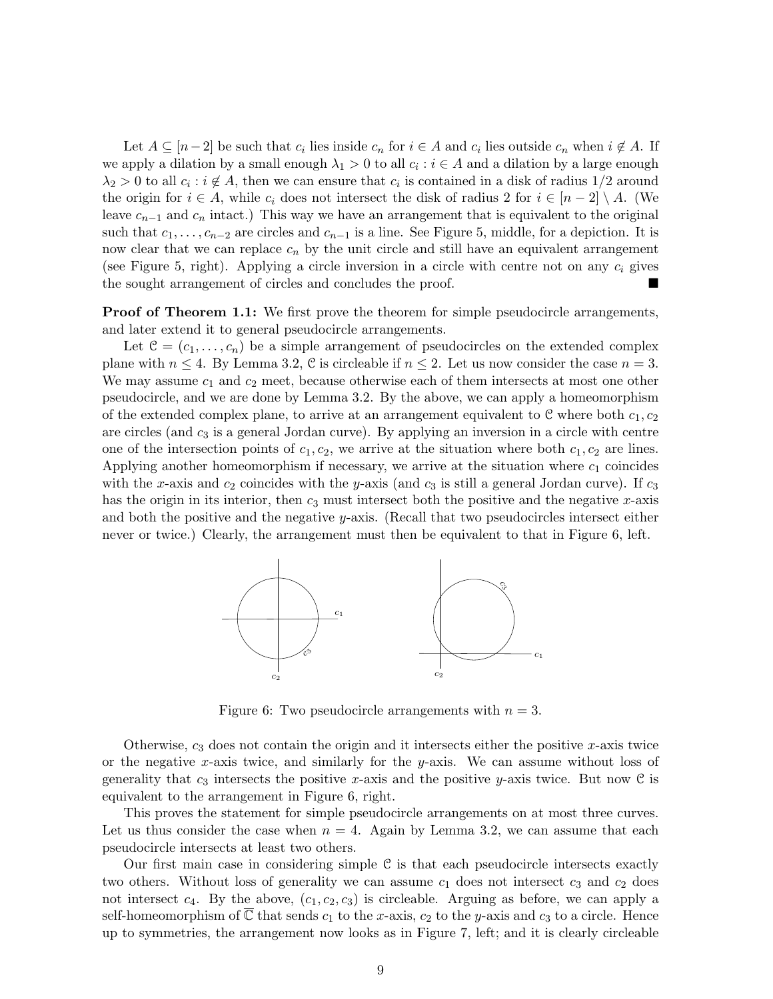Let  $A \subseteq [n-2]$  be such that  $c_i$  lies inside  $c_n$  for  $i \in A$  and  $c_i$  lies outside  $c_n$  when  $i \notin A$ . If we apply a dilation by a small enough  $\lambda_1 > 0$  to all  $c_i : i \in A$  and a dilation by a large enough  $\lambda_2 > 0$  to all  $c_i : i \notin A$ , then we can ensure that  $c_i$  is contained in a disk of radius 1/2 around the origin for  $i \in A$ , while  $c_i$  does not intersect the disk of radius 2 for  $i \in [n-2] \setminus A$ . (We leave  $c_{n-1}$  and  $c_n$  intact.) This way we have an arrangement that is equivalent to the original such that  $c_1, \ldots, c_{n-2}$  are circles and  $c_{n-1}$  is a line. See Figure 5, middle, for a depiction. It is now clear that we can replace  $c_n$  by the unit circle and still have an equivalent arrangement (see Figure 5, right). Applying a circle inversion in a circle with centre not on any  $c_i$  gives the sought arrangement of circles and concludes the proof.

**Proof of Theorem 1.1:** We first prove the theorem for simple pseudocircle arrangements, and later extend it to general pseudocircle arrangements.

Let  $\mathcal{C} = (c_1, \ldots, c_n)$  be a simple arrangement of pseudocircles on the extended complex plane with  $n \leq 4$ . By Lemma 3.2, C is circleable if  $n \leq 2$ . Let us now consider the case  $n = 3$ . We may assume  $c_1$  and  $c_2$  meet, because otherwise each of them intersects at most one other pseudocircle, and we are done by Lemma 3.2. By the above, we can apply a homeomorphism of the extended complex plane, to arrive at an arrangement equivalent to  $\mathcal C$  where both  $c_1, c_2$ are circles (and  $c_3$  is a general Jordan curve). By applying an inversion in a circle with centre one of the intersection points of  $c_1, c_2$ , we arrive at the situation where both  $c_1, c_2$  are lines. Applying another homeomorphism if necessary, we arrive at the situation where  $c_1$  coincides with the x-axis and  $c_2$  coincides with the y-axis (and  $c_3$  is still a general Jordan curve). If  $c_3$ has the origin in its interior, then  $c_3$  must intersect both the positive and the negative x-axis and both the positive and the negative y-axis. (Recall that two pseudocircles intersect either never or twice.) Clearly, the arrangement must then be equivalent to that in Figure 6, left.



Figure 6: Two pseudocircle arrangements with  $n = 3$ .

Otherwise,  $c_3$  does not contain the origin and it intersects either the positive x-axis twice or the negative x-axis twice, and similarly for the y-axis. We can assume without loss of generality that  $c_3$  intersects the positive x-axis and the positive y-axis twice. But now C is equivalent to the arrangement in Figure 6, right.

This proves the statement for simple pseudocircle arrangements on at most three curves. Let us thus consider the case when  $n = 4$ . Again by Lemma 3.2, we can assume that each pseudocircle intersects at least two others.

Our first main case in considering simple  $C$  is that each pseudocircle intersects exactly two others. Without loss of generality we can assume  $c_1$  does not intersect  $c_3$  and  $c_2$  does not intersect  $c_4$ . By the above,  $(c_1, c_2, c_3)$  is circleable. Arguing as before, we can apply a self-homeomorphism of  $\mathbb C$  that sends  $c_1$  to the x-axis,  $c_2$  to the y-axis and  $c_3$  to a circle. Hence up to symmetries, the arrangement now looks as in Figure 7, left; and it is clearly circleable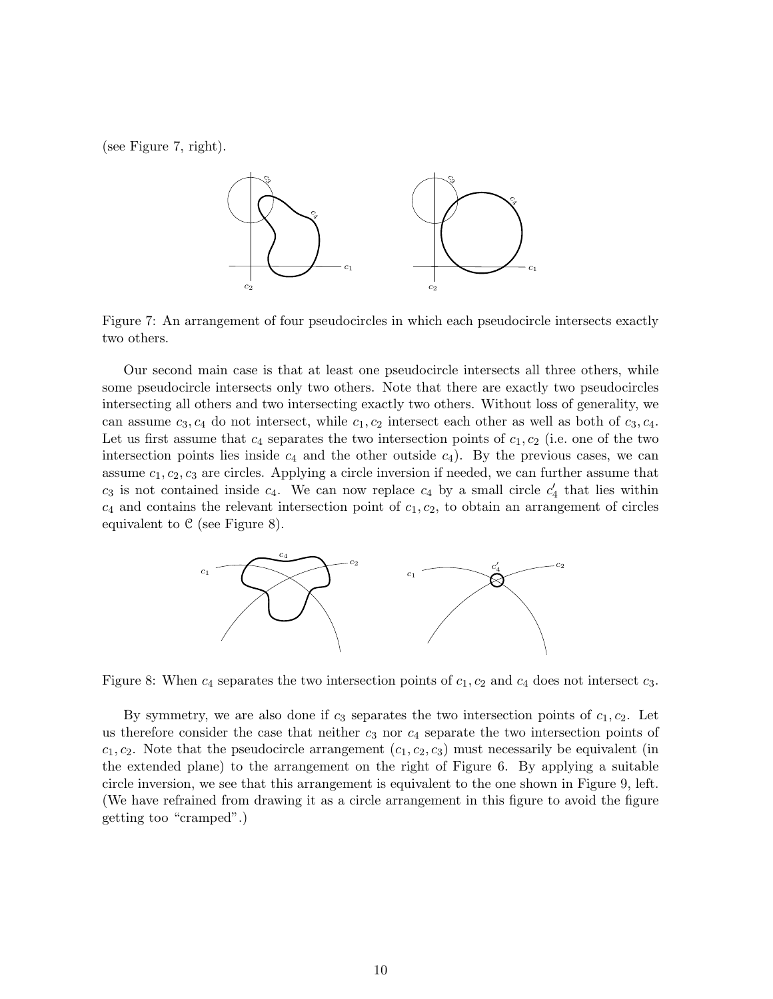(see Figure 7, right).



Figure 7: An arrangement of four pseudocircles in which each pseudocircle intersects exactly two others.

Our second main case is that at least one pseudocircle intersects all three others, while some pseudocircle intersects only two others. Note that there are exactly two pseudocircles intersecting all others and two intersecting exactly two others. Without loss of generality, we can assume  $c_3, c_4$  do not intersect, while  $c_1, c_2$  intersect each other as well as both of  $c_3, c_4$ . Let us first assume that  $c_4$  separates the two intersection points of  $c_1, c_2$  (i.e. one of the two intersection points lies inside  $c_4$  and the other outside  $c_4$ ). By the previous cases, we can assume  $c_1, c_2, c_3$  are circles. Applying a circle inversion if needed, we can further assume that  $c_3$  is not contained inside  $c_4$ . We can now replace  $c_4$  by a small circle  $c'_4$  that lies within  $c_4$  and contains the relevant intersection point of  $c_1, c_2$ , to obtain an arrangement of circles equivalent to  $C$  (see Figure 8).



Figure 8: When  $c_4$  separates the two intersection points of  $c_1$ ,  $c_2$  and  $c_4$  does not intersect  $c_3$ .

By symmetry, we are also done if  $c_3$  separates the two intersection points of  $c_1, c_2$ . Let us therefore consider the case that neither  $c_3$  nor  $c_4$  separate the two intersection points of  $c_1, c_2$ . Note that the pseudocircle arrangement  $(c_1, c_2, c_3)$  must necessarily be equivalent (in the extended plane) to the arrangement on the right of Figure 6. By applying a suitable circle inversion, we see that this arrangement is equivalent to the one shown in Figure 9, left. (We have refrained from drawing it as a circle arrangement in this figure to avoid the figure getting too "cramped".)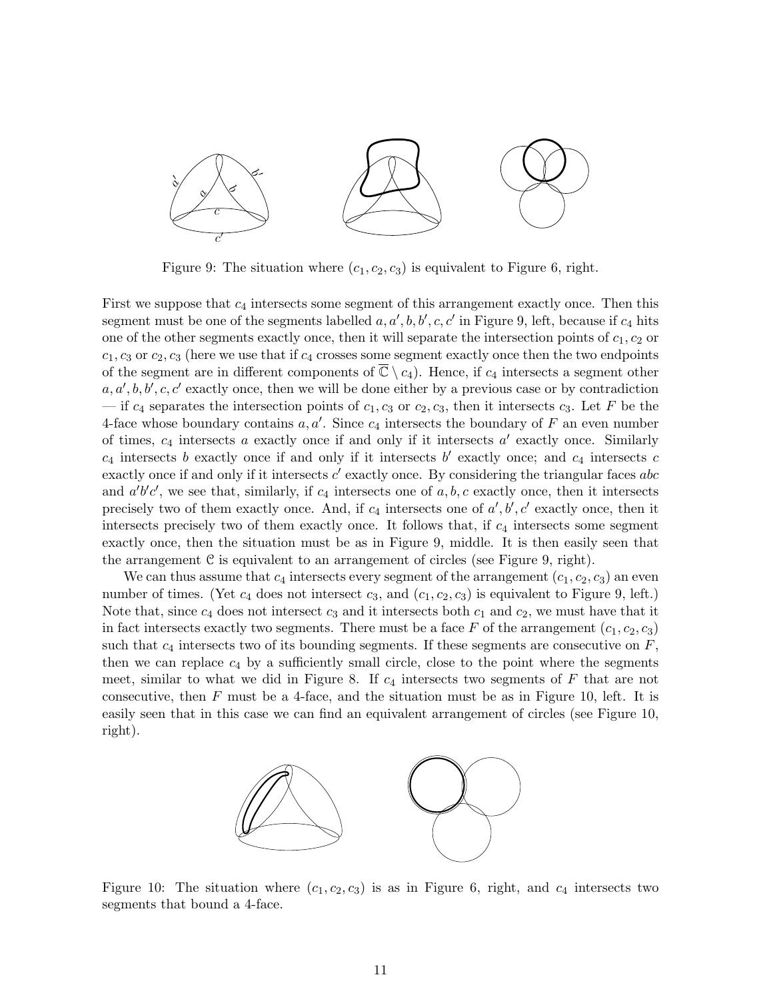

Figure 9: The situation where  $(c_1, c_2, c_3)$  is equivalent to Figure 6, right.

First we suppose that  $c_4$  intersects some segment of this arrangement exactly once. Then this segment must be one of the segments labelled  $a, a', b, b', c, c'$  in Figure 9, left, because if  $c_4$  hits one of the other segments exactly once, then it will separate the intersection points of  $c_1, c_2$  or  $c_1, c_3$  or  $c_2, c_3$  (here we use that if  $c_4$  crosses some segment exactly once then the two endpoints of the segment are in different components of  $\mathbb{C} \setminus c_4$ ). Hence, if  $c_4$  intersects a segment other  $a, a', b, b', c, c'$  exactly once, then we will be done either by a previous case or by contradiction — if  $c_4$  separates the intersection points of  $c_1, c_3$  or  $c_2, c_3$ , then it intersects  $c_3$ . Let F be the 4-face whose boundary contains  $a, a'$ . Since  $c_4$  intersects the boundary of F an even number of times,  $c_4$  intersects a exactly once if and only if it intersects  $a'$  exactly once. Similarly  $c_4$  intersects b exactly once if and only if it intersects b' exactly once; and  $c_4$  intersects c exactly once if and only if it intersects  $c'$  exactly once. By considering the triangular faces abc and  $a'b'c'$ , we see that, similarly, if  $c_4$  intersects one of  $a, b, c$  exactly once, then it intersects precisely two of them exactly once. And, if  $c_4$  intersects one of  $a', b', c'$  exactly once, then it intersects precisely two of them exactly once. It follows that, if  $c_4$  intersects some segment exactly once, then the situation must be as in Figure 9, middle. It is then easily seen that the arrangement C is equivalent to an arrangement of circles (see Figure 9, right).

We can thus assume that  $c_4$  intersects every segment of the arrangement  $(c_1, c_2, c_3)$  an even number of times. (Yet  $c_4$  does not intersect  $c_3$ , and  $(c_1, c_2, c_3)$  is equivalent to Figure 9, left.) Note that, since  $c_4$  does not intersect  $c_3$  and it intersects both  $c_1$  and  $c_2$ , we must have that it in fact intersects exactly two segments. There must be a face F of the arrangement  $(c_1, c_2, c_3)$ such that  $c_4$  intersects two of its bounding segments. If these segments are consecutive on  $F$ , then we can replace  $c_4$  by a sufficiently small circle, close to the point where the segments meet, similar to what we did in Figure 8. If  $c_4$  intersects two segments of F that are not consecutive, then  $F$  must be a 4-face, and the situation must be as in Figure 10, left. It is easily seen that in this case we can find an equivalent arrangement of circles (see Figure 10, right).



Figure 10: The situation where  $(c_1, c_2, c_3)$  is as in Figure 6, right, and  $c_4$  intersects two segments that bound a 4-face.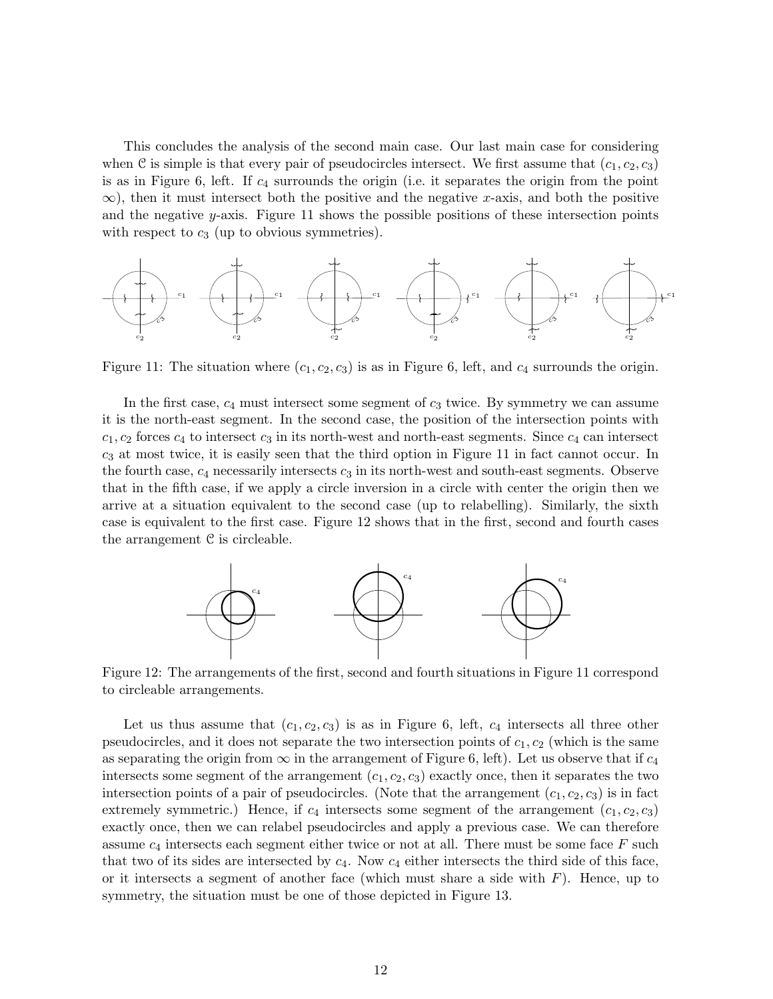This concludes the analysis of the second main case. Our last main case for considering when C is simple is that every pair of pseudocircles intersect. We first assume that  $(c_1, c_2, c_3)$ is as in Figure 6, left. If  $c_4$  surrounds the origin (i.e. it separates the origin from the point  $\infty$ ), then it must intersect both the positive and the negative x-axis, and both the positive and the negative y-axis. Figure 11 shows the possible positions of these intersection points with respect to  $c_3$  (up to obvious symmetries).



Figure 11: The situation where  $(c_1, c_2, c_3)$  is as in Figure 6, left, and  $c_4$  surrounds the origin.

In the first case,  $c_4$  must intersect some segment of  $c_3$  twice. By symmetry we can assume it is the north-east segment. In the second case, the position of the intersection points with  $c_1, c_2$  forces  $c_4$  to intersect  $c_3$  in its north-west and north-east segments. Since  $c_4$  can intersect  $c_3$  at most twice, it is easily seen that the third option in Figure 11 in fact cannot occur. In the fourth case,  $c_4$  necessarily intersects  $c_3$  in its north-west and south-east segments. Observe that in the fifth case, if we apply a circle inversion in a circle with center the origin then we arrive at a situation equivalent to the second case (up to relabelling). Similarly, the sixth case is equivalent to the first case. Figure 12 shows that in the first, second and fourth cases the arrangement  $C$  is circleable.



Figure 12: The arrangements of the first, second and fourth situations in Figure 11 correspond to circleable arrangements.

Let us thus assume that  $(c_1, c_2, c_3)$  is as in Figure 6, left,  $c_4$  intersects all three other pseudocircles, and it does not separate the two intersection points of  $c_1, c_2$  (which is the same as separating the origin from  $\infty$  in the arrangement of Figure 6, left). Let us observe that if  $c_4$ intersects some segment of the arrangement  $(c_1, c_2, c_3)$  exactly once, then it separates the two intersection points of a pair of pseudocircles. (Note that the arrangement  $(c_1, c_2, c_3)$  is in fact extremely symmetric.) Hence, if  $c_4$  intersects some segment of the arrangement  $(c_1, c_2, c_3)$ exactly once, then we can relabel pseudocircles and apply a previous case. We can therefore assume  $c_4$  intersects each segment either twice or not at all. There must be some face  $F$  such that two of its sides are intersected by  $c_4$ . Now  $c_4$  either intersects the third side of this face, or it intersects a segment of another face (which must share a side with  $F$ ). Hence, up to symmetry, the situation must be one of those depicted in Figure 13.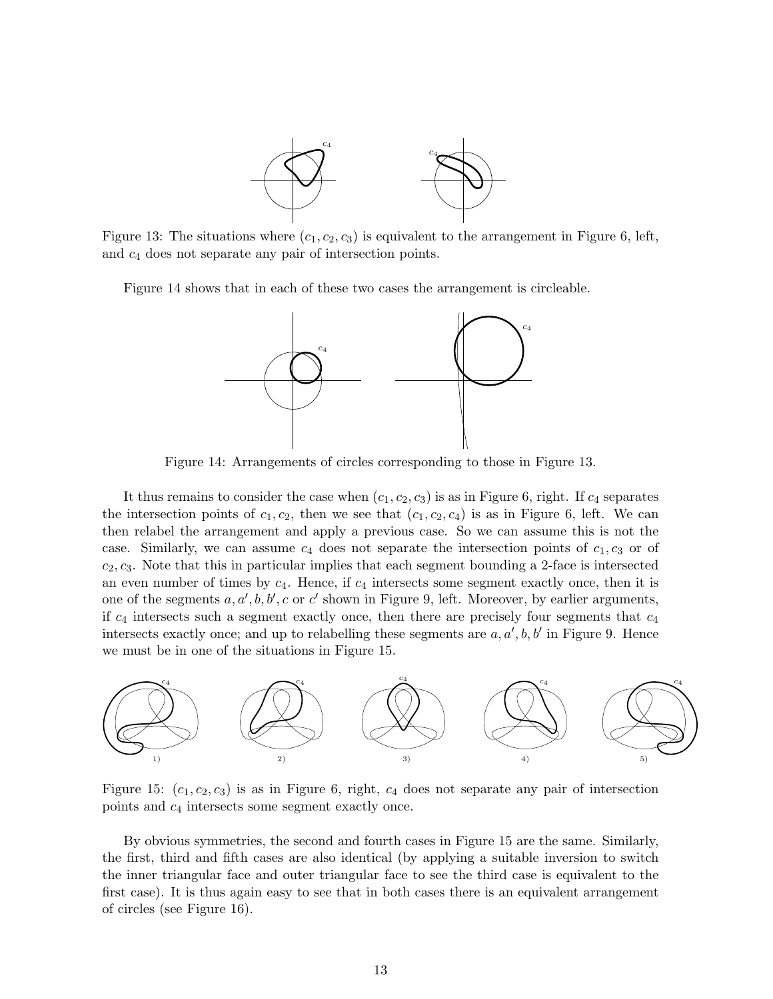

Figure 13: The situations where  $(c_1, c_2, c_3)$  is equivalent to the arrangement in Figure 6, left, and c<sup>4</sup> does not separate any pair of intersection points.

Figure 14 shows that in each of these two cases the arrangement is circleable.



Figure 14: Arrangements of circles corresponding to those in Figure 13.

It thus remains to consider the case when  $(c_1, c_2, c_3)$  is as in Figure 6, right. If  $c_4$  separates the intersection points of  $c_1, c_2$ , then we see that  $(c_1, c_2, c_4)$  is as in Figure 6, left. We can then relabel the arrangement and apply a previous case. So we can assume this is not the case. Similarly, we can assume  $c_4$  does not separate the intersection points of  $c_1, c_3$  or of  $c_2, c_3$ . Note that this in particular implies that each segment bounding a 2-face is intersected an even number of times by  $c_4$ . Hence, if  $c_4$  intersects some segment exactly once, then it is one of the segments  $a, a', b, b', c$  or c' shown in Figure 9, left. Moreover, by earlier arguments, if  $c_4$  intersects such a segment exactly once, then there are precisely four segments that  $c_4$ intersects exactly once; and up to relabelling these segments are  $a, a', b, b'$  in Figure 9. Hence we must be in one of the situations in Figure 15.



Figure 15:  $(c_1, c_2, c_3)$  is as in Figure 6, right,  $c_4$  does not separate any pair of intersection points and c<sup>4</sup> intersects some segment exactly once.

By obvious symmetries, the second and fourth cases in Figure 15 are the same. Similarly, the first, third and fifth cases are also identical (by applying a suitable inversion to switch the inner triangular face and outer triangular face to see the third case is equivalent to the first case). It is thus again easy to see that in both cases there is an equivalent arrangement of circles (see Figure 16).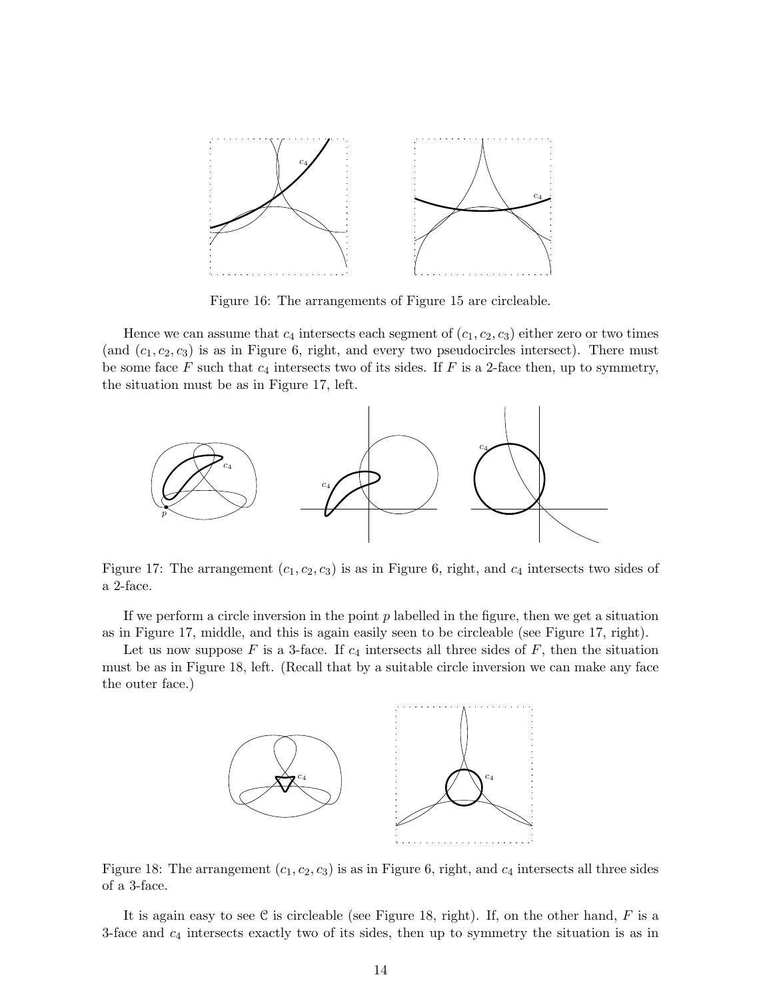

Figure 16: The arrangements of Figure 15 are circleable.

Hence we can assume that  $c_4$  intersects each segment of  $(c_1, c_2, c_3)$  either zero or two times (and  $(c_1, c_2, c_3)$  is as in Figure 6, right, and every two pseudocircles intersect). There must be some face  $F$  such that  $c_4$  intersects two of its sides. If  $F$  is a 2-face then, up to symmetry, the situation must be as in Figure 17, left.



Figure 17: The arrangement  $(c_1, c_2, c_3)$  is as in Figure 6, right, and  $c_4$  intersects two sides of a 2-face.

If we perform a circle inversion in the point  $p$  labelled in the figure, then we get a situation as in Figure 17, middle, and this is again easily seen to be circleable (see Figure 17, right).

Let us now suppose F is a 3-face. If  $c_4$  intersects all three sides of F, then the situation must be as in Figure 18, left. (Recall that by a suitable circle inversion we can make any face the outer face.)



Figure 18: The arrangement  $(c_1, c_2, c_3)$  is as in Figure 6, right, and  $c_4$  intersects all three sides of a 3-face.

It is again easy to see C is circleable (see Figure 18, right). If, on the other hand,  $F$  is a 3-face and  $c_4$  intersects exactly two of its sides, then up to symmetry the situation is as in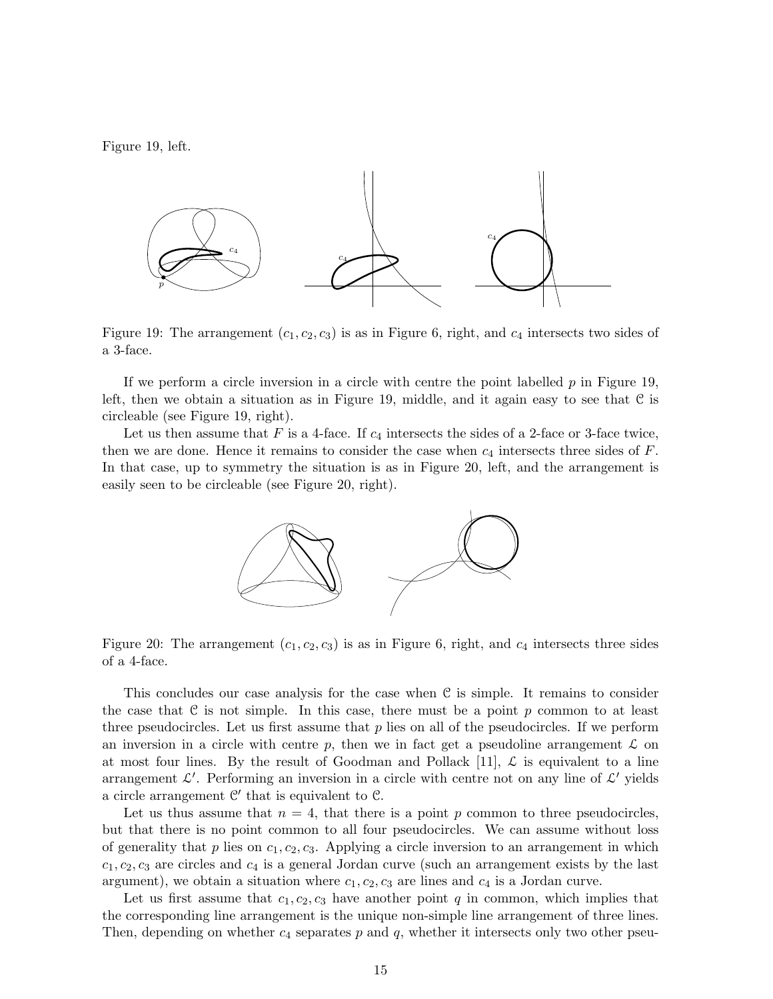Figure 19, left.



Figure 19: The arrangement  $(c_1, c_2, c_3)$  is as in Figure 6, right, and  $c_4$  intersects two sides of a 3-face.

If we perform a circle inversion in a circle with centre the point labelled  $p$  in Figure 19, left, then we obtain a situation as in Figure 19, middle, and it again easy to see that  $\mathcal C$  is circleable (see Figure 19, right).

Let us then assume that F is a 4-face. If  $c_4$  intersects the sides of a 2-face or 3-face twice, then we are done. Hence it remains to consider the case when  $c_4$  intersects three sides of  $F$ . In that case, up to symmetry the situation is as in Figure 20, left, and the arrangement is easily seen to be circleable (see Figure 20, right).



Figure 20: The arrangement  $(c_1, c_2, c_3)$  is as in Figure 6, right, and  $c_4$  intersects three sides of a 4-face.

This concludes our case analysis for the case when  $\mathcal C$  is simple. It remains to consider the case that  $\mathcal C$  is not simple. In this case, there must be a point p common to at least three pseudocircles. Let us first assume that  $p$  lies on all of the pseudocircles. If we perform an inversion in a circle with centre p, then we in fact get a pseudoline arrangement  $\mathcal L$  on at most four lines. By the result of Goodman and Pollack [11],  $\mathcal{L}$  is equivalent to a line arrangement  $\mathcal{L}'$ . Performing an inversion in a circle with centre not on any line of  $\mathcal{L}'$  yields a circle arrangement  $\mathcal{C}'$  that is equivalent to  $\mathcal{C}$ .

Let us thus assume that  $n = 4$ , that there is a point p common to three pseudocircles, but that there is no point common to all four pseudocircles. We can assume without loss of generality that p lies on  $c_1, c_2, c_3$ . Applying a circle inversion to an arrangement in which  $c_1, c_2, c_3$  are circles and  $c_4$  is a general Jordan curve (such an arrangement exists by the last argument), we obtain a situation where  $c_1, c_2, c_3$  are lines and  $c_4$  is a Jordan curve.

Let us first assume that  $c_1, c_2, c_3$  have another point q in common, which implies that the corresponding line arrangement is the unique non-simple line arrangement of three lines. Then, depending on whether  $c_4$  separates p and q, whether it intersects only two other pseu-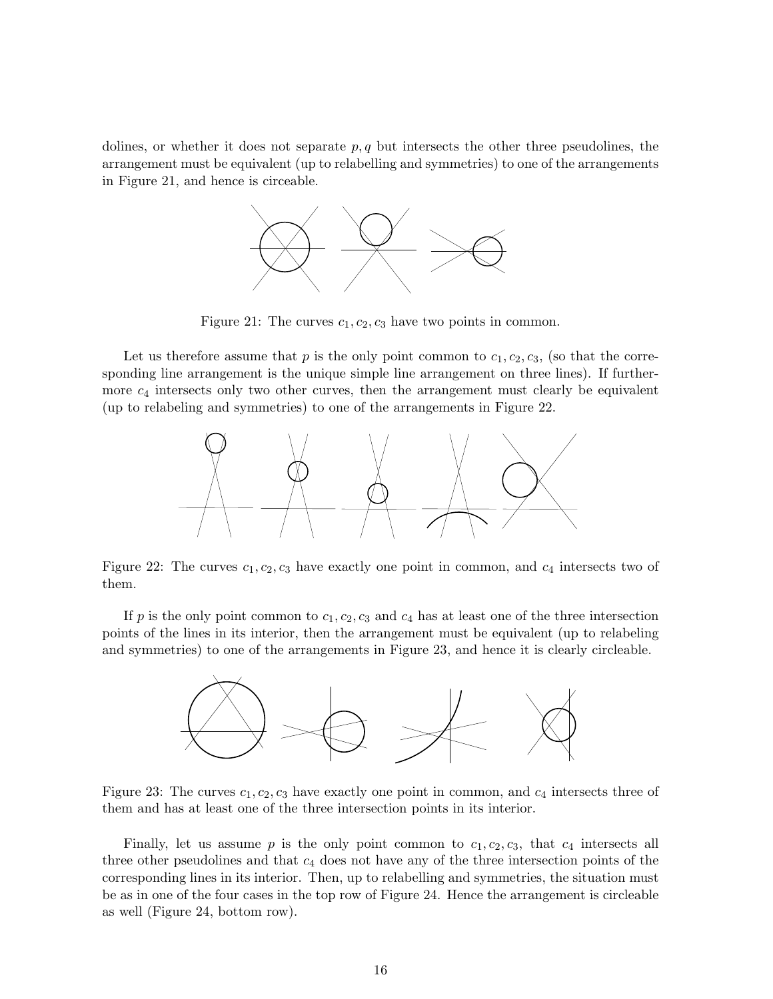dolines, or whether it does not separate  $p, q$  but intersects the other three pseudolines, the arrangement must be equivalent (up to relabelling and symmetries) to one of the arrangements in Figure 21, and hence is circeable.



Figure 21: The curves  $c_1, c_2, c_3$  have two points in common.

Let us therefore assume that p is the only point common to  $c_1, c_2, c_3$ , (so that the corresponding line arrangement is the unique simple line arrangement on three lines). If furthermore  $c_4$  intersects only two other curves, then the arrangement must clearly be equivalent (up to relabeling and symmetries) to one of the arrangements in Figure 22.



Figure 22: The curves  $c_1, c_2, c_3$  have exactly one point in common, and  $c_4$  intersects two of them.

If  $p$  is the only point common to  $c_1, c_2, c_3$  and  $c_4$  has at least one of the three intersection points of the lines in its interior, then the arrangement must be equivalent (up to relabeling and symmetries) to one of the arrangements in Figure 23, and hence it is clearly circleable.



Figure 23: The curves  $c_1, c_2, c_3$  have exactly one point in common, and  $c_4$  intersects three of them and has at least one of the three intersection points in its interior.

Finally, let us assume p is the only point common to  $c_1, c_2, c_3$ , that  $c_4$  intersects all three other pseudolines and that  $c_4$  does not have any of the three intersection points of the corresponding lines in its interior. Then, up to relabelling and symmetries, the situation must be as in one of the four cases in the top row of Figure 24. Hence the arrangement is circleable as well (Figure 24, bottom row).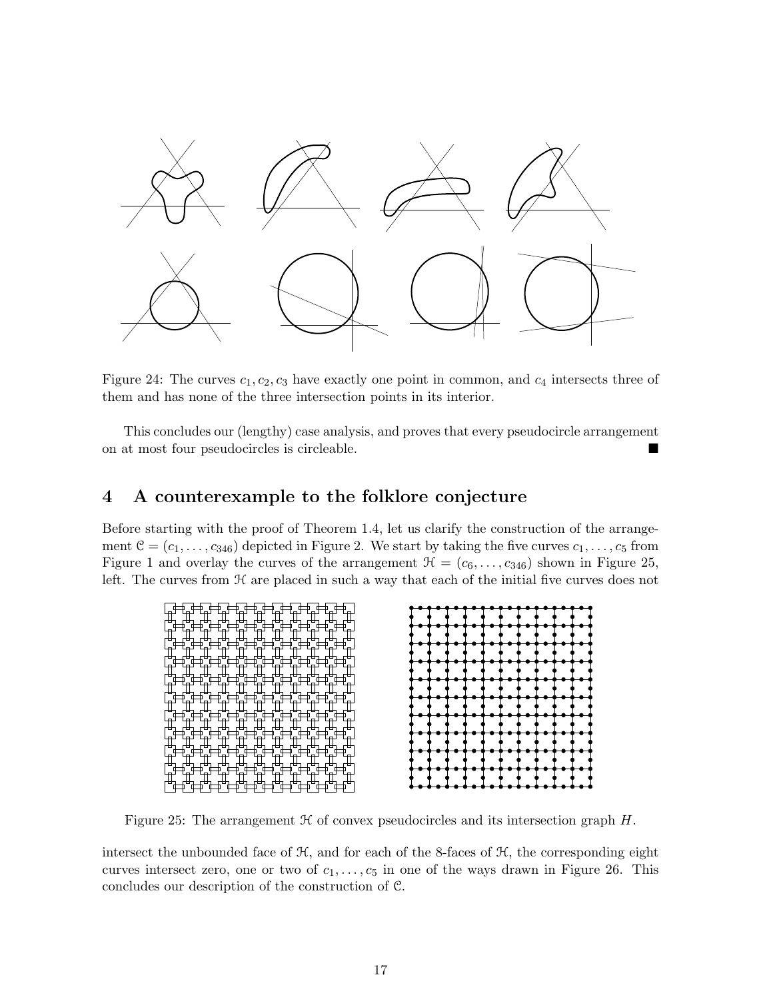

Figure 24: The curves  $c_1, c_2, c_3$  have exactly one point in common, and  $c_4$  intersects three of them and has none of the three intersection points in its interior.

This concludes our (lengthy) case analysis, and proves that every pseudocircle arrangement on at most four pseudocircles is circleable.

# 4 A counterexample to the folklore conjecture

Before starting with the proof of Theorem 1.4, let us clarify the construction of the arrangement  $C = (c_1, \ldots, c_{346})$  depicted in Figure 2. We start by taking the five curves  $c_1, \ldots, c_5$  from Figure 1 and overlay the curves of the arrangement  $\mathcal{H} = (c_6, \ldots, c_{346})$  shown in Figure 25, left. The curves from  $\mathcal H$  are placed in such a way that each of the initial five curves does not



Figure 25: The arrangement  $H$  of convex pseudocircles and its intersection graph  $H$ .

intersect the unbounded face of  $H$ , and for each of the 8-faces of  $H$ , the corresponding eight curves intersect zero, one or two of  $c_1, \ldots, c_5$  in one of the ways drawn in Figure 26. This concludes our description of the construction of C.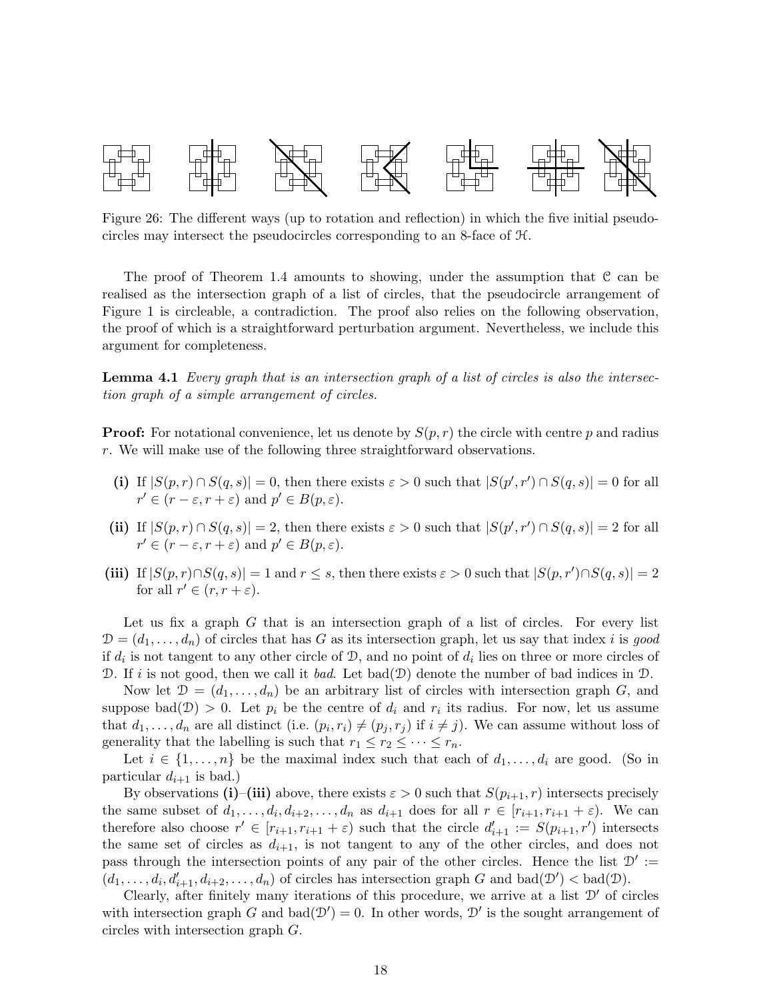

Figure 26: The different ways (up to rotation and reflection) in which the five initial pseudocircles may intersect the pseudocircles corresponding to an 8-face of H.

The proof of Theorem 1.4 amounts to showing, under the assumption that C can be realised as the intersection graph of a list of circles, that the pseudocircle arrangement of Figure 1 is circleable, a contradiction. The proof also relies on the following observation, the proof of which is a straightforward perturbation argument. Nevertheless, we include this argument for completeness.

**Lemma 4.1** Every graph that is an intersection graph of a list of circles is also the intersection graph of a simple arrangement of circles.

**Proof:** For notational convenience, let us denote by  $S(p,r)$  the circle with centre p and radius r. We will make use of the following three straightforward observations.

- (i) If  $|S(p,r) \cap S(q,s)| = 0$ , then there exists  $\varepsilon > 0$  such that  $|S(p',r') \cap S(q,s)| = 0$  for all  $r' \in (r - \varepsilon, r + \varepsilon)$  and  $p' \in B(p, \varepsilon)$ .
- (ii) If  $|S(p,r) \cap S(q,s)| = 2$ , then there exists  $\varepsilon > 0$  such that  $|S(p',r') \cap S(q,s)| = 2$  for all  $r' \in (r - \varepsilon, r + \varepsilon)$  and  $p' \in B(p, \varepsilon)$ .
- (iii) If  $|S(p,r) \cap S(q,s)| = 1$  and  $r \leq s$ , then there exists  $\varepsilon > 0$  such that  $|S(p,r') \cap S(q,s)| = 2$ for all  $r' \in (r, r + \varepsilon)$ .

Let us fix a graph  $G$  that is an intersection graph of a list of circles. For every list  $\mathcal{D} = (d_1, \ldots, d_n)$  of circles that has G as its intersection graph, let us say that index i is good if  $d_i$  is not tangent to any other circle of  $\mathcal{D}$ , and no point of  $d_i$  lies on three or more circles of D. If i is not good, then we call it bad. Let bad $(\mathcal{D})$  denote the number of bad indices in  $\mathcal{D}$ .

Now let  $\mathcal{D} = (d_1, \ldots, d_n)$  be an arbitrary list of circles with intersection graph G, and suppose bad $(\mathcal{D}) > 0$ . Let  $p_i$  be the centre of  $d_i$  and  $r_i$  its radius. For now, let us assume that  $d_1, \ldots, d_n$  are all distinct (i.e.  $(p_i, r_i) \neq (p_j, r_j)$  if  $i \neq j$ ). We can assume without loss of generality that the labelling is such that  $r_1 \leq r_2 \leq \cdots \leq r_n$ .

Let  $i \in \{1, \ldots, n\}$  be the maximal index such that each of  $d_1, \ldots, d_i$  are good. (So in particular  $d_{i+1}$  is bad.)

By observations (i)–(iii) above, there exists  $\varepsilon > 0$  such that  $S(p_{i+1}, r)$  intersects precisely the same subset of  $d_1, \ldots, d_i, d_{i+2}, \ldots, d_n$  as  $d_{i+1}$  does for all  $r \in [r_{i+1}, r_{i+1} + \varepsilon)$ . We can therefore also choose  $r' \in [r_{i+1}, r_{i+1} + \varepsilon)$  such that the circle  $d'_{i+1} := S(p_{i+1}, r')$  intersects the same set of circles as  $d_{i+1}$ , is not tangent to any of the other circles, and does not pass through the intersection points of any pair of the other circles. Hence the list  $\mathcal{D}'$  :=  $(d_1, \ldots, d_i, d'_{i+1}, d_{i+2}, \ldots, d_n)$  of circles has intersection graph G and bad $(\mathcal{D}') <$  bad $(\mathcal{D})$ .

Clearly, after finitely many iterations of this procedure, we arrive at a list  $\mathcal{D}'$  of circles with intersection graph G and bad $(\mathcal{D}') = 0$ . In other words,  $\mathcal{D}'$  is the sought arrangement of circles with intersection graph G.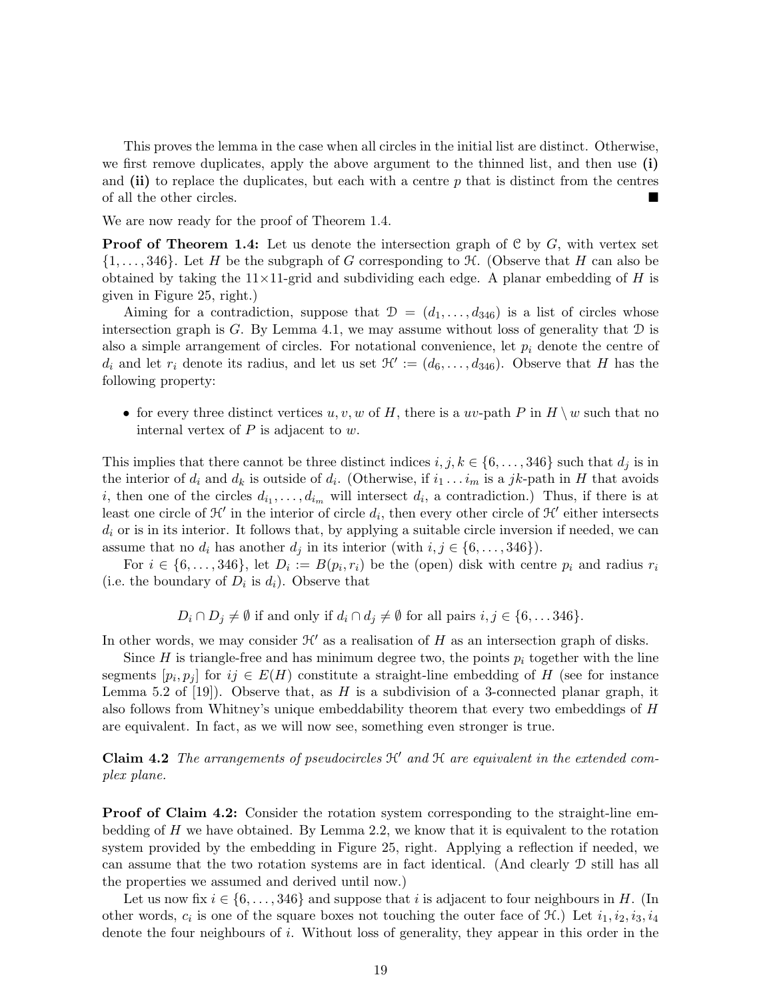This proves the lemma in the case when all circles in the initial list are distinct. Otherwise, we first remove duplicates, apply the above argument to the thinned list, and then use (i) and  $(ii)$  to replace the duplicates, but each with a centre  $p$  that is distinct from the centres of all the other circles.

We are now ready for the proof of Theorem 1.4.

**Proof of Theorem 1.4:** Let us denote the intersection graph of  $C$  by  $G$ , with vertex set  $\{1,\ldots,346\}$ . Let H be the subgraph of G corresponding to  $\mathcal H$ . (Observe that H can also be obtained by taking the  $11\times11$ -grid and subdividing each edge. A planar embedding of H is given in Figure 25, right.)

Aiming for a contradiction, suppose that  $\mathcal{D} = (d_1, \ldots, d_{346})$  is a list of circles whose intersection graph is G. By Lemma 4.1, we may assume without loss of generality that  $D$  is also a simple arrangement of circles. For notational convenience, let  $p_i$  denote the centre of  $d_i$  and let  $r_i$  denote its radius, and let us set  $\mathcal{H}':=(d_6,\ldots,d_{346})$ . Observe that H has the following property:

• for every three distinct vertices  $u, v, w$  of H, there is a uv-path P in  $H \setminus w$  such that no internal vertex of  $P$  is adjacent to  $w$ .

This implies that there cannot be three distinct indices  $i, j, k \in \{6, \ldots, 346\}$  such that  $d_j$  is in the interior of  $d_i$  and  $d_k$  is outside of  $d_i$ . (Otherwise, if  $i_1 \ldots i_m$  is a jk-path in H that avoids i, then one of the circles  $d_{i_1}, \ldots, d_{i_m}$  will intersect  $d_i$ , a contradiction.) Thus, if there is at least one circle of  $\mathcal{H}'$  in the interior of circle  $d_i$ , then every other circle of  $\mathcal{H}'$  either intersects  $d_i$  or is in its interior. It follows that, by applying a suitable circle inversion if needed, we can assume that no  $d_i$  has another  $d_j$  in its interior (with  $i, j \in \{6, \ldots, 346\}$ ).

For  $i \in \{6, \ldots, 346\}$ , let  $D_i := B(p_i, r_i)$  be the (open) disk with centre  $p_i$  and radius  $r_i$ (i.e. the boundary of  $D_i$  is  $d_i$ ). Observe that

 $D_i \cap D_j \neq \emptyset$  if and only if  $d_i \cap d_j \neq \emptyset$  for all pairs  $i, j \in \{6, \ldots, 346\}.$ 

In other words, we may consider  $\mathcal{H}'$  as a realisation of H as an intersection graph of disks.

Since H is triangle-free and has minimum degree two, the points  $p_i$  together with the line segments  $[p_i, p_j]$  for  $ij \in E(H)$  constitute a straight-line embedding of H (see for instance Lemma 5.2 of [19]). Observe that, as  $H$  is a subdivision of a 3-connected planar graph, it also follows from Whitney's unique embeddability theorem that every two embeddings of H are equivalent. In fact, as we will now see, something even stronger is true.

**Claim 4.2** The arrangements of pseudocircles  $\mathcal{H}'$  and  $\mathcal{H}$  are equivalent in the extended complex plane.

Proof of Claim 4.2: Consider the rotation system corresponding to the straight-line embedding of  $H$  we have obtained. By Lemma 2.2, we know that it is equivalent to the rotation system provided by the embedding in Figure 25, right. Applying a reflection if needed, we can assume that the two rotation systems are in fact identical. (And clearly D still has all the properties we assumed and derived until now.)

Let us now fix  $i \in \{6, \ldots, 346\}$  and suppose that i is adjacent to four neighbours in H. (In other words,  $c_i$  is one of the square boxes not touching the outer face of  $\mathcal{H}$ .) Let  $i_1, i_2, i_3, i_4$ denote the four neighbours of i. Without loss of generality, they appear in this order in the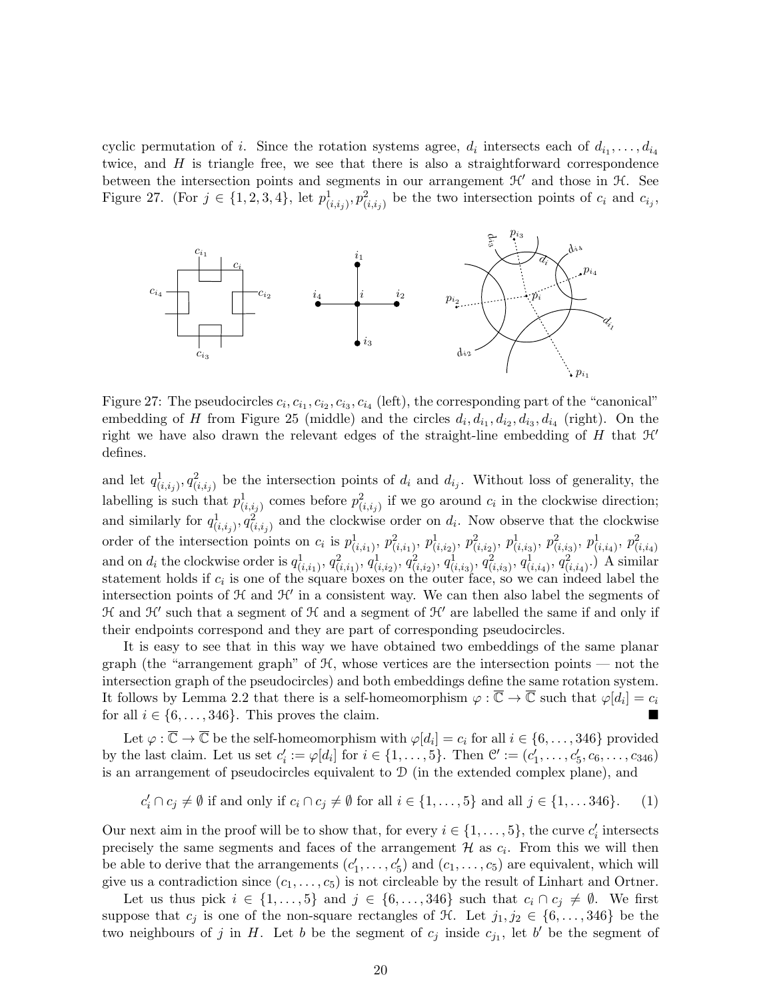cyclic permutation of i. Since the rotation systems agree,  $d_i$  intersects each of  $d_{i_1}, \ldots, d_{i_4}$ twice, and H is triangle free, we see that there is also a straightforward correspondence between the intersection points and segments in our arrangement  $\mathcal{H}'$  and those in  $\mathcal{H}$ . See Figure 27. (For  $j \in \{1, 2, 3, 4\}$ , let  $p_{(i,i_j)}^1, p_{(i,i_j)}^2$  be the two intersection points of  $c_i$  and  $c_{i_j}$ ,



Figure 27: The pseudocircles  $c_i, c_{i_1}, c_{i_2}, c_{i_3}, c_{i_4}$  (left), the corresponding part of the "canonical" embedding of H from Figure 25 (middle) and the circles  $d_i, d_{i_1}, d_{i_2}, d_{i_3}, d_{i_4}$  (right). On the right we have also drawn the relevant edges of the straight-line embedding of  $H$  that  $\mathcal{H}'$ defines.

and let  $q_{(i,i_j)}^1, q_{(i,i_j)}^2$  be the intersection points of  $d_i$  and  $d_{i_j}$ . Without loss of generality, the labelling is such that  $p_{(i,i_j)}^1$  comes before  $p_{(i,i_j)}^2$  if we go around  $c_i$  in the clockwise direction; and similarly for  $q_{(i,i_j)}^1, q_{(i,i_j)}^2$  and the clockwise order on  $d_i$ . Now observe that the clockwise order of the intersection points on  $c_i$  is  $p_{(i,i_1)}^1$ ,  $p_{(i,i_1)}^2$ ,  $p_{(i,i_2)}^1$ ,  $p_{(i,i_3)}^2$ ,  $p_{(i,i_3)}^1$ ,  $p_{(i,i_4)}^2$ ,  $p_{(i,i_4)}^2$ and on  $d_i$  the clockwise order is  $q_{(i,i_1)}^1$ ,  $q_{(i,i_1)}^2$ ,  $q_{(i,i_2)}^1$ ,  $q_{(i,i_2)}^2$ ,  $q_{(i,i_3)}^1$ ,  $q_{(i,i_4)}^2$ ,  $q_{(i,i_4)}^2$ .) A similar statement holds if  $c_i$  is one of the square boxes on the outer face, so we can indeed label the intersection points of  $H$  and  $H'$  in a consistent way. We can then also label the segments of  $\mathcal H$  and  $\mathcal H'$  such that a segment of  $\mathcal H$  and a segment of  $\mathcal H'$  are labelled the same if and only if their endpoints correspond and they are part of corresponding pseudocircles.

It is easy to see that in this way we have obtained two embeddings of the same planar graph (the "arrangement graph" of  $H$ , whose vertices are the intersection points — not the intersection graph of the pseudocircles) and both embeddings define the same rotation system. It follows by Lemma 2.2 that there is a self-homeomorphism  $\varphi : \overline{\mathbb{C}} \to \overline{\mathbb{C}}$  such that  $\varphi[d_i] = c_i$ for all  $i \in \{6, \ldots, 346\}$ . This proves the claim.

Let  $\varphi : \overline{\mathbb{C}} \to \overline{\mathbb{C}}$  be the self-homeomorphism with  $\varphi[d_i] = c_i$  for all  $i \in \{6, \ldots, 346\}$  provided by the last claim. Let us set  $c'_i := \varphi[d_i]$  for  $i \in \{1, ..., 5\}$ . Then  $\mathcal{C}' := (c'_1, ..., c'_5, c_6, ..., c_{346})$ is an arrangement of pseudocircles equivalent to D (in the extended complex plane), and

$$
c'_i \cap c_j \neq \emptyset \text{ if and only if } c_i \cap c_j \neq \emptyset \text{ for all } i \in \{1, \dots, 5\} \text{ and all } j \in \{1, \dots 346\}. \tag{1}
$$

Our next aim in the proof will be to show that, for every  $i \in \{1, \ldots, 5\}$ , the curve  $c_i'$  intersects precisely the same segments and faces of the arrangement  $\mathcal H$  as  $c_i$ . From this we will then be able to derive that the arrangements  $(c'_1, \ldots, c'_5)$  and  $(c_1, \ldots, c_5)$  are equivalent, which will give us a contradiction since  $(c_1, \ldots, c_5)$  is not circleable by the result of Linhart and Ortner.

Let us thus pick  $i \in \{1, \ldots, 5\}$  and  $j \in \{6, \ldots, 346\}$  such that  $c_i \cap c_j \neq \emptyset$ . We first suppose that  $c_j$  is one of the non-square rectangles of  $\mathcal{H}$ . Let  $j_1, j_2 \in \{6, \ldots, 346\}$  be the two neighbours of j in H. Let b be the segment of  $c_j$  inside  $c_{j_1}$ , let b' be the segment of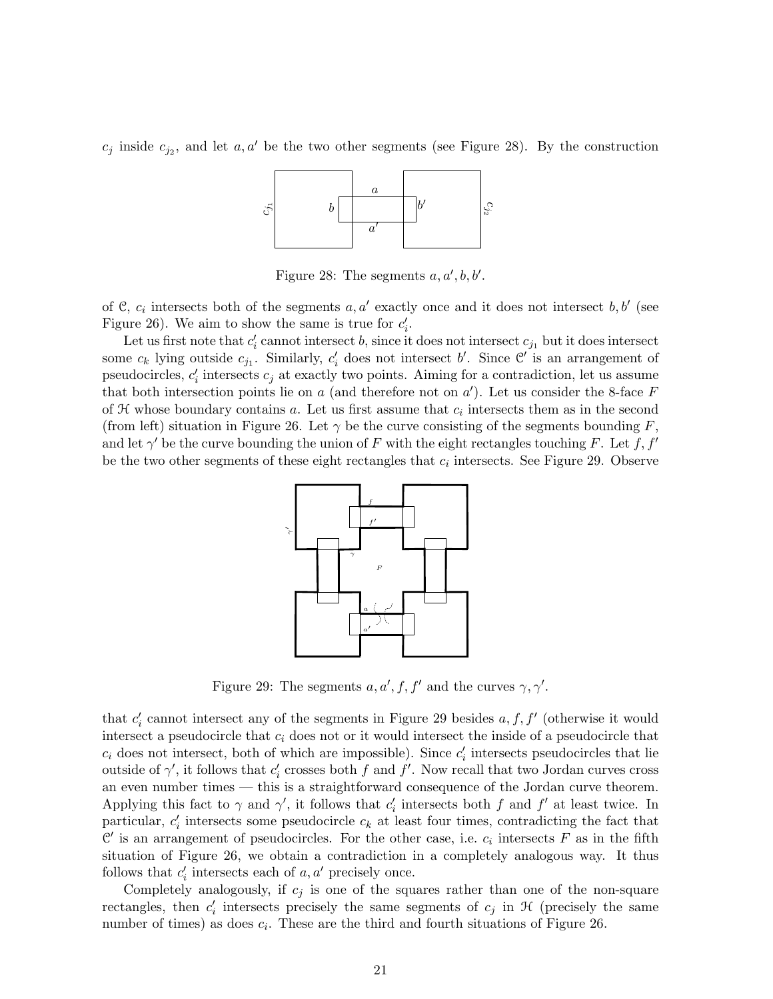$c_j$  inside  $c_{j_2}$ , and let  $a, a'$  be the two other segments (see Figure 28). By the construction



Figure 28: The segments  $a, a', b, b'.$ 

of C,  $c_i$  intersects both of the segments  $a, a'$  exactly once and it does not intersect  $b, b'$  (see Figure 26). We aim to show the same is true for  $c_i'$ .

Let us first note that  $c_i'$  cannot intersect b, since it does not intersect  $c_{j_1}$  but it does intersect some  $c_k$  lying outside  $c_{j_1}$ . Similarly,  $c'_i$  does not intersect b'. Since  $\mathcal{C}'$  is an arrangement of pseudocircles,  $c_i'$  intersects  $c_j$  at exactly two points. Aiming for a contradiction, let us assume that both intersection points lie on  $a$  (and therefore not on  $a'$ ). Let us consider the 8-face  $F$ of  $H$  whose boundary contains  $a$ . Let us first assume that  $c_i$  intersects them as in the second (from left) situation in Figure 26. Let  $\gamma$  be the curve consisting of the segments bounding F, and let  $\gamma'$  be the curve bounding the union of F with the eight rectangles touching F. Let f, f' be the two other segments of these eight rectangles that  $c_i$  intersects. See Figure 29. Observe



Figure 29: The segments  $a, a', f, f'$  and the curves  $\gamma, \gamma'$ .

that  $c_i'$  cannot intersect any of the segments in Figure 29 besides  $a, f, f'$  (otherwise it would intersect a pseudocircle that  $c_i$  does not or it would intersect the inside of a pseudocircle that  $c_i$  does not intersect, both of which are impossible). Since  $c'_i$  intersects pseudocircles that lie outside of  $\gamma'$ , it follows that  $c'_i$  crosses both f and f'. Now recall that two Jordan curves cross an even number times — this is a straightforward consequence of the Jordan curve theorem. Applying this fact to  $\gamma$  and  $\gamma'$ , it follows that  $c'_i$  intersects both f and f' at least twice. In particular,  $c_i'$  intersects some pseudocircle  $c_k$  at least four times, contradicting the fact that  $\mathcal{C}'$  is an arrangement of pseudocircles. For the other case, i.e.  $c_i$  intersects F as in the fifth situation of Figure 26, we obtain a contradiction in a completely analogous way. It thus follows that  $c'_i$  intersects each of  $a, a'$  precisely once.

Completely analogously, if  $c_i$  is one of the squares rather than one of the non-square rectangles, then  $c_i'$  intersects precisely the same segments of  $c_j$  in  $\mathcal H$  (precisely the same number of times) as does  $c_i$ . These are the third and fourth situations of Figure 26.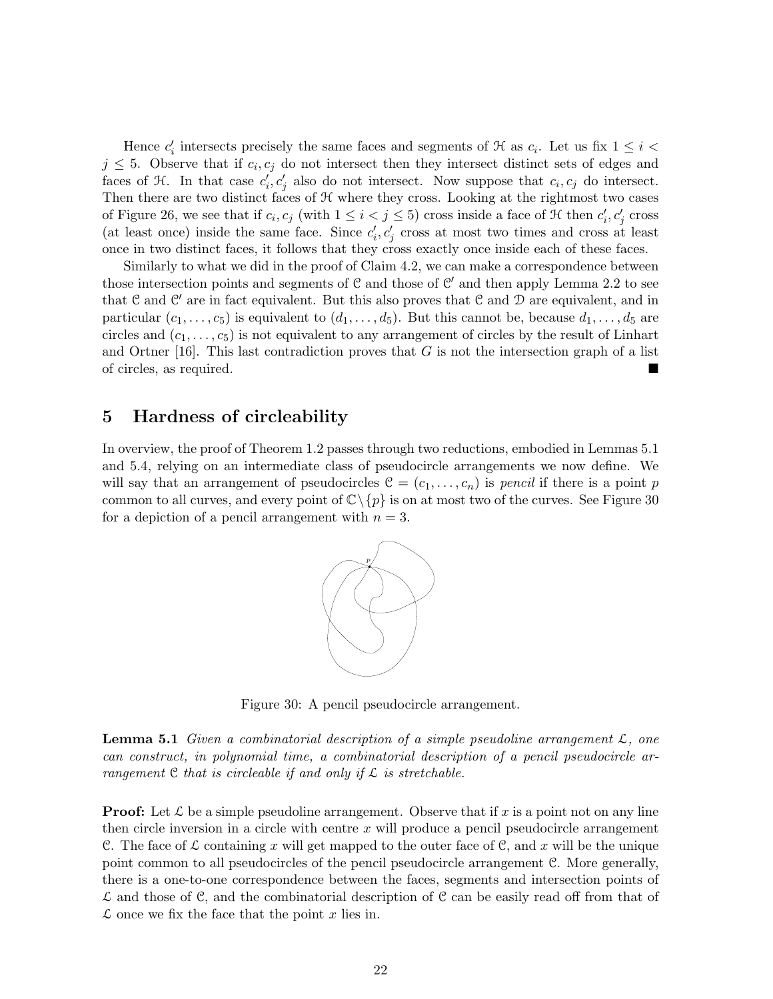Hence  $c_i'$  intersects precisely the same faces and segments of  $\mathcal H$  as  $c_i$ . Let us fix  $1 \leq i <$  $j \leq 5$ . Observe that if  $c_i, c_j$  do not intersect then they intersect distinct sets of edges and faces of  $\mathcal{H}$ . In that case  $c_i, c_j$  also do not intersect. Now suppose that  $c_i, c_j$  do intersect. Then there are two distinct faces of  $H$  where they cross. Looking at the rightmost two cases of Figure 26, we see that if  $c_i, c_j$  (with  $1 \leq i < j \leq 5$ ) cross inside a face of  $H$  then  $c'_i, c'_j$  cross (at least once) inside the same face. Since  $c'_i, c'_j$  cross at most two times and cross at least once in two distinct faces, it follows that they cross exactly once inside each of these faces.

Similarly to what we did in the proof of Claim 4.2, we can make a correspondence between those intersection points and segments of  $\mathcal C$  and those of  $\mathcal C'$  and then apply Lemma 2.2 to see that  $\mathcal C$  and  $\mathcal C'$  are in fact equivalent. But this also proves that  $\mathcal C$  and  $\mathcal D$  are equivalent, and in particular  $(c_1, \ldots, c_5)$  is equivalent to  $(d_1, \ldots, d_5)$ . But this cannot be, because  $d_1, \ldots, d_5$  are circles and  $(c_1, \ldots, c_5)$  is not equivalent to any arrangement of circles by the result of Linhart and Ortner [16]. This last contradiction proves that  $G$  is not the intersection graph of a list of circles, as required.

## 5 Hardness of circleability

In overview, the proof of Theorem 1.2 passes through two reductions, embodied in Lemmas 5.1 and 5.4, relying on an intermediate class of pseudocircle arrangements we now define. We will say that an arrangement of pseudocircles  $\mathcal{C} = (c_1, \ldots, c_n)$  is pencil if there is a point p common to all curves, and every point of  $\mathbb{C}\setminus\{p\}$  is on at most two of the curves. See Figure 30 for a depiction of a pencil arrangement with  $n = 3$ .



Figure 30: A pencil pseudocircle arrangement.

**Lemma 5.1** Given a combinatorial description of a simple pseudoline arrangement  $\mathcal{L}$ , one can construct, in polynomial time, a combinatorial description of a pencil pseudocircle arrangement  $C$  that is circleable if and only if  $\mathcal L$  is stretchable.

**Proof:** Let  $\mathcal{L}$  be a simple pseudoline arrangement. Observe that if x is a point not on any line then circle inversion in a circle with centre  $x$  will produce a pencil pseudocircle arrangement C. The face of  $\mathcal L$  containing x will get mapped to the outer face of C, and x will be the unique point common to all pseudocircles of the pencil pseudocircle arrangement C. More generally, there is a one-to-one correspondence between the faces, segments and intersection points of  $\mathcal L$  and those of C, and the combinatorial description of C can be easily read off from that of  $\mathcal L$  once we fix the face that the point x lies in.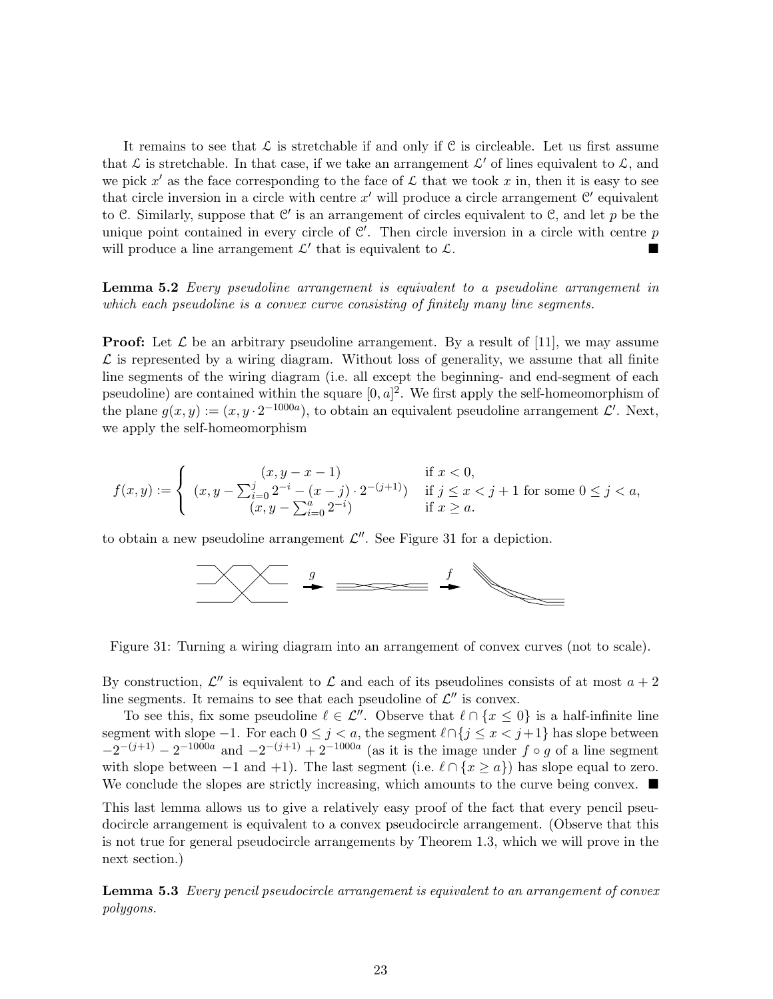It remains to see that  $\mathcal L$  is stretchable if and only if C is circleable. Let us first assume that  $\mathcal L$  is stretchable. In that case, if we take an arrangement  $\mathcal L'$  of lines equivalent to  $\mathcal L$ , and we pick x' as the face corresponding to the face of  $\mathcal L$  that we took x in, then it is easy to see that circle inversion in a circle with centre  $x'$  will produce a circle arrangement  $\mathcal{C}'$  equivalent to C. Similarly, suppose that  $\mathcal{C}'$  is an arrangement of circles equivalent to C, and let p be the unique point contained in every circle of  $\mathcal{C}'$ . Then circle inversion in a circle with centre p will produce a line arrangement  $\mathcal{L}'$  that is equivalent to  $\mathcal{L}$ .

Lemma 5.2 Every pseudoline arrangement is equivalent to a pseudoline arrangement in which each pseudoline is a convex curve consisting of finitely many line segments.

**Proof:** Let  $\mathcal{L}$  be an arbitrary pseudoline arrangement. By a result of [11], we may assume  $\mathcal L$  is represented by a wiring diagram. Without loss of generality, we assume that all finite line segments of the wiring diagram (i.e. all except the beginning- and end-segment of each pseudoline) are contained within the square  $[0, a]^2$ . We first apply the self-homeomorphism of the plane  $g(x, y) := (x, y \cdot 2^{-1000a})$ , to obtain an equivalent pseudoline arrangement  $\mathcal{L}'$ . Next, we apply the self-homeomorphism

$$
f(x,y) := \begin{cases} (x, y - x - 1) & \text{if } x < 0, \\ (x, y - \sum_{i=0}^{j} 2^{-i} - (x - j) \cdot 2^{-(j+1)}) & \text{if } j \leq x < j + 1 \text{ for some } 0 \leq j < a, \\ (x, y - \sum_{i=0}^{a} 2^{-i}) & \text{if } x \geq a. \end{cases}
$$

to obtain a new pseudoline arrangement  $\mathcal{L}''$ . See Figure 31 for a depiction.



Figure 31: Turning a wiring diagram into an arrangement of convex curves (not to scale).

By construction,  $\mathcal{L}''$  is equivalent to  $\mathcal L$  and each of its pseudolines consists of at most  $a + 2$ line segments. It remains to see that each pseudoline of  $\mathcal{L}''$  is convex.

To see this, fix some pseudoline  $\ell \in \mathcal{L}''$ . Observe that  $\ell \cap \{x \leq 0\}$  is a half-infinite line segment with slope  $-1$ . For each  $0 \leq j < a$ , the segment  $\ell \cap \{j \leq x < j+1\}$  has slope between  $-2^{-(j+1)} - 2^{-1000a}$  and  $-2^{-(j+1)} + 2^{-1000a}$  (as it is the image under  $f \circ g$  of a line segment with slope between  $-1$  and  $+1$ ). The last segment (i.e.  $\ell \cap \{x \ge a\}$ ) has slope equal to zero. We conclude the slopes are strictly increasing, which amounts to the curve being convex.  $\blacksquare$ 

This last lemma allows us to give a relatively easy proof of the fact that every pencil pseudocircle arrangement is equivalent to a convex pseudocircle arrangement. (Observe that this is not true for general pseudocircle arrangements by Theorem 1.3, which we will prove in the next section.)

**Lemma 5.3** Every pencil pseudocircle arrangement is equivalent to an arrangement of convex polygons.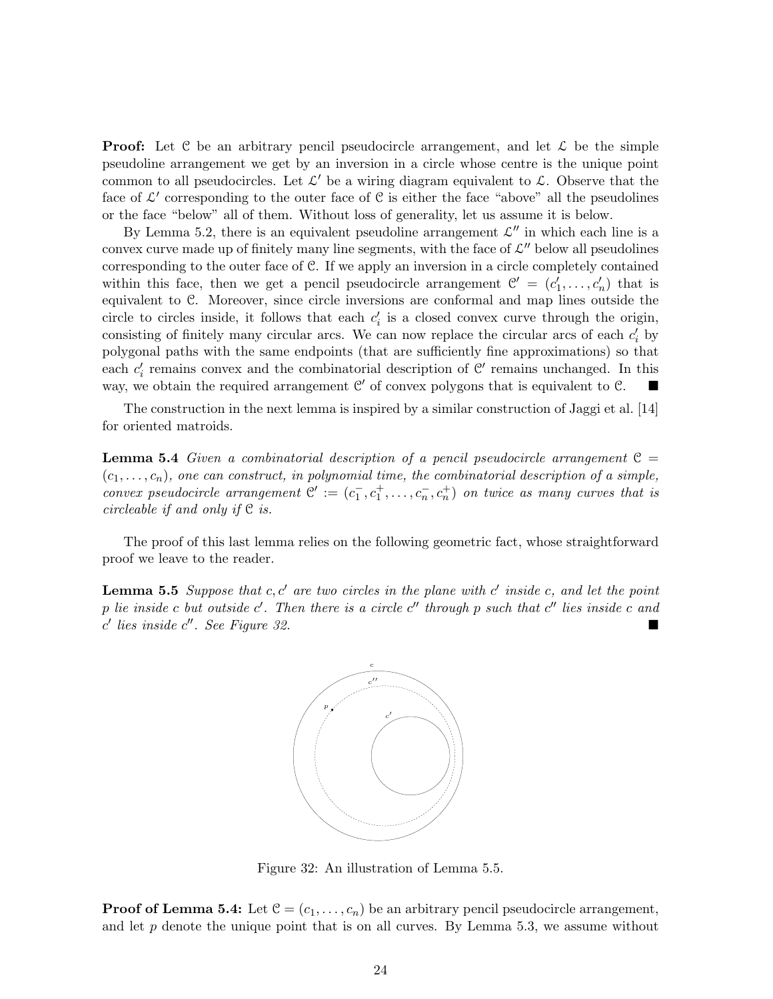**Proof:** Let C be an arbitrary pencil pseudocircle arrangement, and let  $\mathcal{L}$  be the simple pseudoline arrangement we get by an inversion in a circle whose centre is the unique point common to all pseudocircles. Let  $\mathcal{L}'$  be a wiring diagram equivalent to  $\mathcal{L}$ . Observe that the face of  $\mathcal{L}'$  corresponding to the outer face of  $\mathcal{C}$  is either the face "above" all the pseudolines or the face "below" all of them. Without loss of generality, let us assume it is below.

By Lemma 5.2, there is an equivalent pseudoline arrangement  $\mathcal{L}''$  in which each line is a convex curve made up of finitely many line segments, with the face of  $\mathcal{L}''$  below all pseudolines corresponding to the outer face of C. If we apply an inversion in a circle completely contained within this face, then we get a pencil pseudocircle arrangement  $\mathcal{C}' = (c'_1, \ldots, c'_n)$  that is equivalent to C. Moreover, since circle inversions are conformal and map lines outside the circle to circles inside, it follows that each  $c_i'$  is a closed convex curve through the origin, consisting of finitely many circular arcs. We can now replace the circular arcs of each  $c_i$  by polygonal paths with the same endpoints (that are sufficiently fine approximations) so that each  $c_i'$  remains convex and the combinatorial description of  $\mathcal{C}'$  remains unchanged. In this way, we obtain the required arrangement  $\mathcal{C}'$  of convex polygons that is equivalent to  $\mathcal{C}$ .

The construction in the next lemma is inspired by a similar construction of Jaggi et al. [14] for oriented matroids.

**Lemma 5.4** Given a combinatorial description of a pencil pseudocircle arrangement  $C =$  $(c_1, \ldots, c_n)$ , one can construct, in polynomial time, the combinatorial description of a simple, convex pseudocircle arrangement  $\mathcal{C}' := (c_1^-, c_1^+, \ldots, c_n^-, c_n^+)$  on twice as many curves that is circleable if and only if C is.

The proof of this last lemma relies on the following geometric fact, whose straightforward proof we leave to the reader.

**Lemma 5.5** Suppose that  $c, c'$  are two circles in the plane with  $c'$  inside  $c$ , and let the point p lie inside c but outside  $c'$ . Then there is a circle  $c''$  through p such that  $c''$  lies inside c and  $c'$  lies inside  $c''$ . See Figure 32.



Figure 32: An illustration of Lemma 5.5.

**Proof of Lemma 5.4:** Let  $\mathcal{C} = (c_1, \ldots, c_n)$  be an arbitrary pencil pseudocircle arrangement, and let  $p$  denote the unique point that is on all curves. By Lemma 5.3, we assume without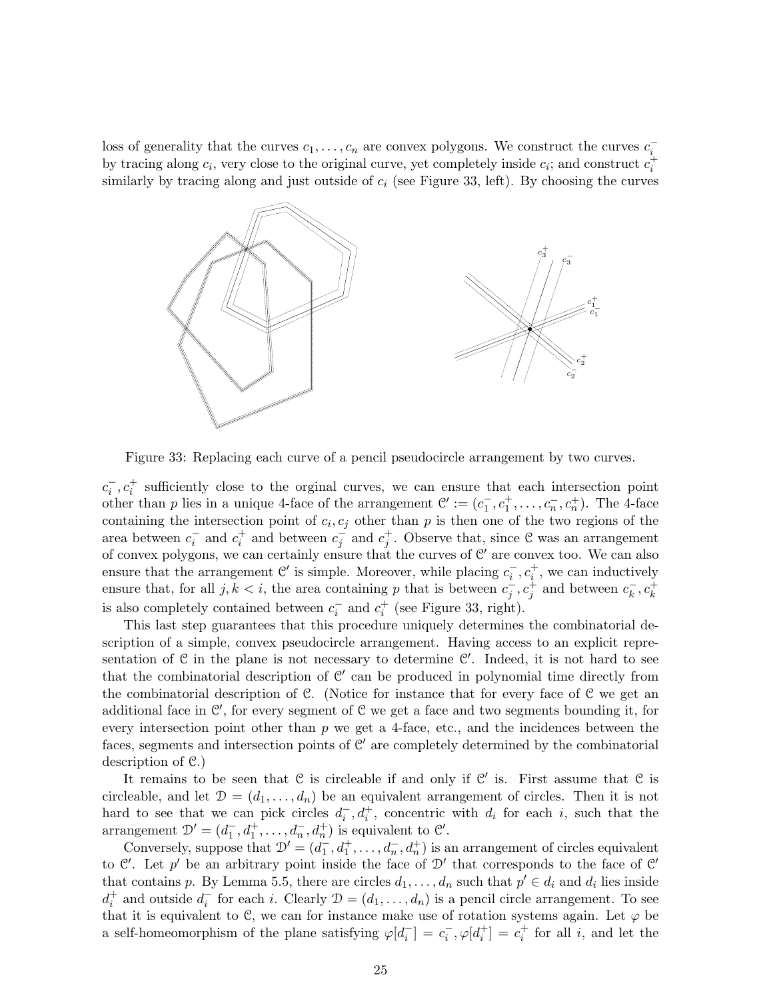loss of generality that the curves  $c_1, \ldots, c_n$  are convex polygons. We construct the curves  $c_i$ by tracing along  $c_i$ , very close to the original curve, yet completely inside  $c_i$ ; and construct  $c_i^+$ similarly by tracing along and just outside of  $c_i$  (see Figure 33, left). By choosing the curves



Figure 33: Replacing each curve of a pencil pseudocircle arrangement by two curves.

 $c_i^-, c_i^+$  sufficiently close to the orginal curves, we can ensure that each intersection point other than p lies in a unique 4-face of the arrangement  $\mathcal{C}' := (c_1^-, c_1^+, \ldots, c_n^-, c_n^+)$ . The 4-face containing the intersection point of  $c_i, c_j$  other than p is then one of the two regions of the area between  $c_i^-$  and  $c_i^+$  and between  $c_j^-$  and  $c_j^+$ . Observe that, since C was an arrangement of convex polygons, we can certainly ensure that the curves of  $\mathcal{C}'$  are convex too. We can also ensure that the arrangement  $\mathcal{C}'$  is simple. Moreover, while placing  $c_i^-, c_i^+$ , we can inductively ensure that, for all  $j, k < i$ , the area containing p that is between  $c_j^-, c_j^+$  and between  $c_k^ \overline{k}$ ,  $c_k^+$ is also completely contained between  $c_i^-$  and  $c_i^+$  (see Figure 33, right).

This last step guarantees that this procedure uniquely determines the combinatorial description of a simple, convex pseudocircle arrangement. Having access to an explicit representation of  $C$  in the plane is not necessary to determine  $C'$ . Indeed, it is not hard to see that the combinatorial description of  $\mathcal{C}'$  can be produced in polynomial time directly from the combinatorial description of  $\mathcal{C}$ . (Notice for instance that for every face of  $\mathcal{C}$  we get an additional face in  $\mathcal{C}'$ , for every segment of  $\mathcal{C}$  we get a face and two segments bounding it, for every intersection point other than  $p$  we get a 4-face, etc., and the incidences between the faces, segments and intersection points of  $C'$  are completely determined by the combinatorial description of C.)

It remains to be seen that  $C$  is circleable if and only if  $C'$  is. First assume that  $C$  is circleable, and let  $\mathcal{D} = (d_1, \ldots, d_n)$  be an equivalent arrangement of circles. Then it is not hard to see that we can pick circles  $d_i^-, d_i^+$ , concentric with  $d_i$  for each i, such that the arrangement  $\mathcal{D}' = (d_1^-, d_1^+, \dots, d_n^-, d_n^+)$  is equivalent to  $\mathcal{C}'$ .

Conversely, suppose that  $\mathcal{D}' = (d_1^-, d_1^+, \ldots, d_n^-, d_n^+)$  is an arrangement of circles equivalent to C'. Let p' be an arbitrary point inside the face of  $\mathcal{D}'$  that corresponds to the face of C' that contains p. By Lemma 5.5, there are circles  $d_1, \ldots, d_n$  such that  $p' \in d_i$  and  $d_i$  lies inside  $d_i^+$  and outside  $d_i^-$  for each i. Clearly  $\mathcal{D} = (d_1, \ldots, d_n)$  is a pencil circle arrangement. To see that it is equivalent to C, we can for instance make use of rotation systems again. Let  $\varphi$  be a self-homeomorphism of the plane satisfying  $\varphi[d_i^-] = c_i^-$ ,  $\varphi[d_i^+] = c_i^+$  for all i, and let the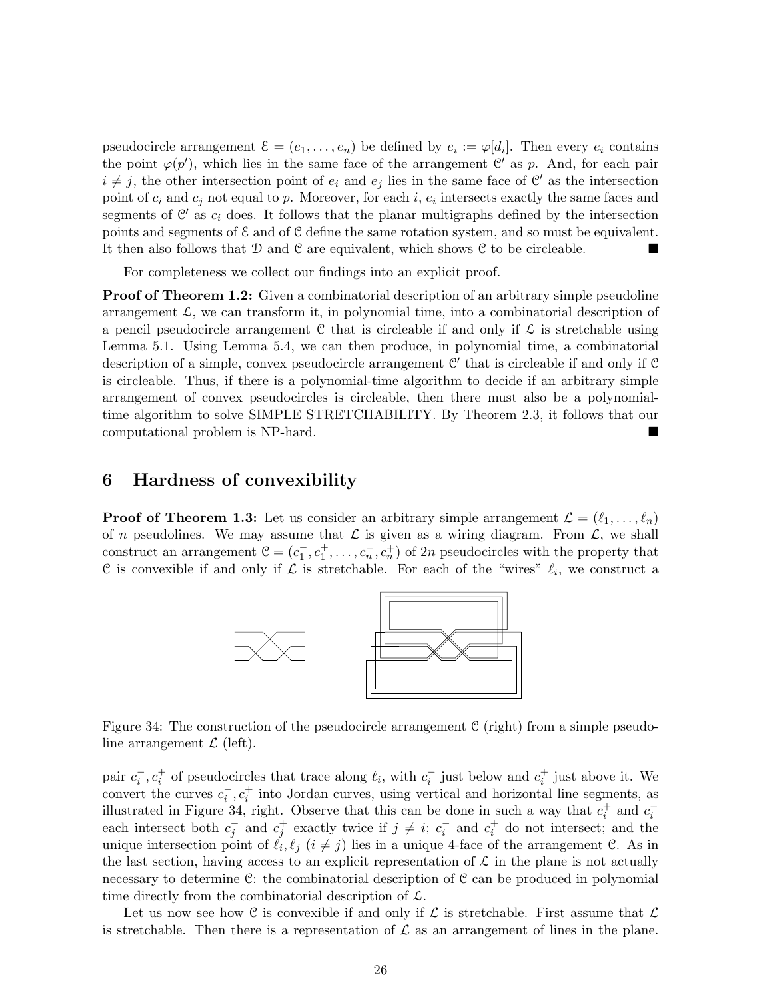pseudocircle arrangement  $\mathcal{E} = (e_1, \ldots, e_n)$  be defined by  $e_i := \varphi[d_i]$ . Then every  $e_i$  contains the point  $\varphi(p')$ , which lies in the same face of the arrangement C' as p. And, for each pair  $i \neq j$ , the other intersection point of  $e_i$  and  $e_j$  lies in the same face of C' as the intersection point of  $c_i$  and  $c_j$  not equal to p. Moreover, for each i,  $e_i$  intersects exactly the same faces and segments of  $\mathcal{C}'$  as  $c_i$  does. It follows that the planar multigraphs defined by the intersection points and segments of  $\mathcal E$  and of  $\mathcal C$  define the same rotation system, and so must be equivalent. It then also follows that  $D$  and  $C$  are equivalent, which shows  $C$  to be circleable.

For completeness we collect our findings into an explicit proof.

**Proof of Theorem 1.2:** Given a combinatorial description of an arbitrary simple pseudoline arrangement  $\mathcal{L}$ , we can transform it, in polynomial time, into a combinatorial description of a pencil pseudocircle arrangement C that is circleable if and only if  $\mathcal L$  is stretchable using Lemma 5.1. Using Lemma 5.4, we can then produce, in polynomial time, a combinatorial description of a simple, convex pseudocircle arrangement  $\mathcal{C}'$  that is circleable if and only if  $\mathcal{C}$ is circleable. Thus, if there is a polynomial-time algorithm to decide if an arbitrary simple arrangement of convex pseudocircles is circleable, then there must also be a polynomialtime algorithm to solve SIMPLE STRETCHABILITY. By Theorem 2.3, it follows that our computational problem is NP-hard.

### 6 Hardness of convexibility

**Proof of Theorem 1.3:** Let us consider an arbitrary simple arrangement  $\mathcal{L} = (\ell_1, \ldots, \ell_n)$ of *n* pseudolines. We may assume that  $\mathcal L$  is given as a wiring diagram. From  $\mathcal L$ , we shall construct an arrangement  $\mathcal{C} = (c_1^-, c_1^+, \ldots, c_n^-, c_n^+)$  of 2n pseudocircles with the property that C is convexible if and only if  $\mathcal L$  is stretchable. For each of the "wires"  $\ell_i$ , we construct a



Figure 34: The construction of the pseudocircle arrangement  $C$  (right) from a simple pseudoline arrangement  $\mathcal{L}$  (left).

pair  $c_i^-, c_i^+$  of pseudocircles that trace along  $\ell_i$ , with  $c_i^-$  just below and  $c_i^+$  just above it. We convert the curves  $c_i^-, c_i^+$  into Jordan curves, using vertical and horizontal line segments, as illustrated in Figure 34, right. Observe that this can be done in such a way that  $c_i^+$  and  $c_i^-$  and  $c_j^-$  and  $c_j^+$  exactly twice if  $j \neq i$ ;  $c_i^-$  and  $c_i^+$  do not intersect; and the unique intersection point of  $\ell_i, \ell_j$   $(i \neq j)$  lies in a unique 4-face of the arrangement C. As in the last section, having access to an explicit representation of  $\mathcal L$  in the plane is not actually necessary to determine C: the combinatorial description of C can be produced in polynomial time directly from the combinatorial description of  $\mathcal{L}$ .

Let us now see how C is convexible if and only if  $\mathcal L$  is stretchable. First assume that  $\mathcal L$ is stretchable. Then there is a representation of  $\mathcal L$  as an arrangement of lines in the plane.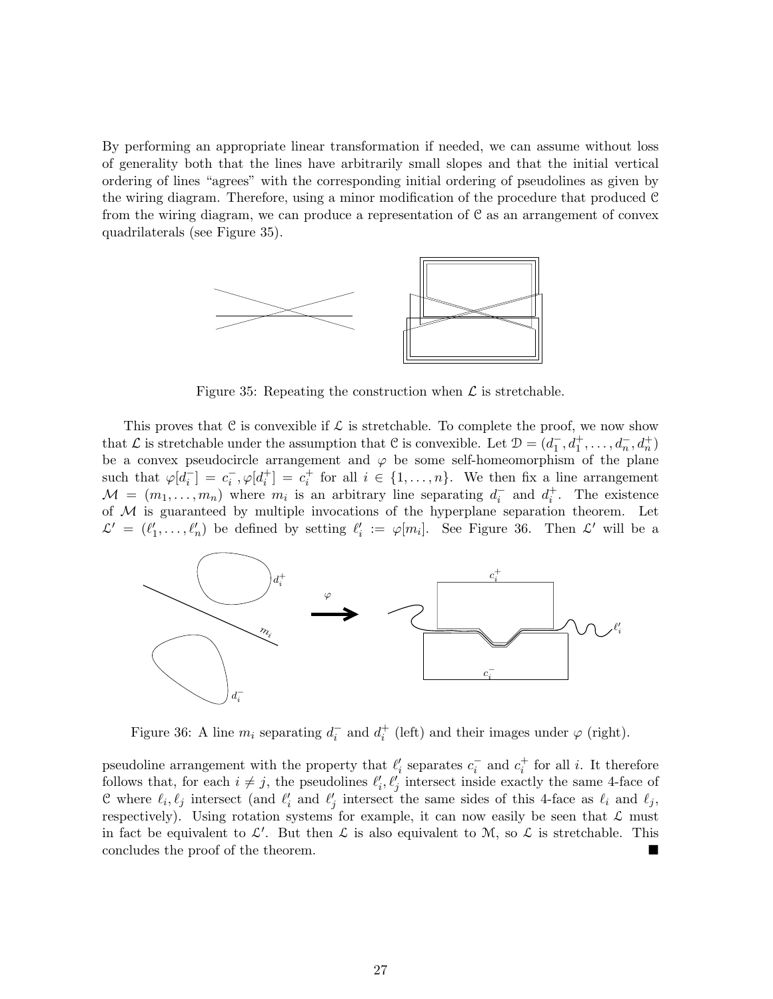By performing an appropriate linear transformation if needed, we can assume without loss of generality both that the lines have arbitrarily small slopes and that the initial vertical ordering of lines "agrees" with the corresponding initial ordering of pseudolines as given by the wiring diagram. Therefore, using a minor modification of the procedure that produced C from the wiring diagram, we can produce a representation of C as an arrangement of convex quadrilaterals (see Figure 35).



Figure 35: Repeating the construction when  $\mathcal L$  is stretchable.

This proves that C is convexible if  $\mathcal L$  is stretchable. To complete the proof, we now show that  $\mathcal L$  is stretchable under the assumption that  $\mathcal C$  is convexible. Let  $\mathcal D=(d_1^-,d_1^+,\ldots,d_n^-,d_n^+)$ be a convex pseudocircle arrangement and  $\varphi$  be some self-homeomorphism of the plane such that  $\varphi[d_i^-] = c_i^-$ ,  $\varphi[d_i^+] = c_i^+$  for all  $i \in \{1, ..., n\}$ . We then fix a line arrangement  $M = (m_1, \ldots, m_n)$  where  $m_i$  is an arbitrary line separating  $d_i^-$  and  $d_i^+$ . The existence of  $M$  is guaranteed by multiple invocations of the hyperplane separation theorem. Let  $\mathcal{L}' = (\ell'_1, \ldots, \ell'_n)$  be defined by setting  $\ell'_i := \varphi[m_i]$ . See Figure 36. Then  $\mathcal{L}'$  will be a



Figure 36: A line  $m_i$  separating  $d_i^-$  and  $d_i^+$  (left) and their images under  $\varphi$  (right).

pseudoline arrangement with the property that  $\ell'_i$  separates  $c_i^-$  and  $c_i^+$  for all i. It therefore follows that, for each  $i \neq j$ , the pseudolines  $\ell'_i, \ell'_j$  intersect inside exactly the same 4-face of C where  $\ell_i, \ell_j$  intersect (and  $\ell'_i$  and  $\ell'_j$  intersect the same sides of this 4-face as  $\ell_i$  and  $\ell_j$ , respectively). Using rotation systems for example, it can now easily be seen that  $\mathcal L$  must in fact be equivalent to  $\mathcal{L}'$ . But then  $\mathcal{L}$  is also equivalent to M, so  $\mathcal{L}$  is stretchable. This concludes the proof of the theorem.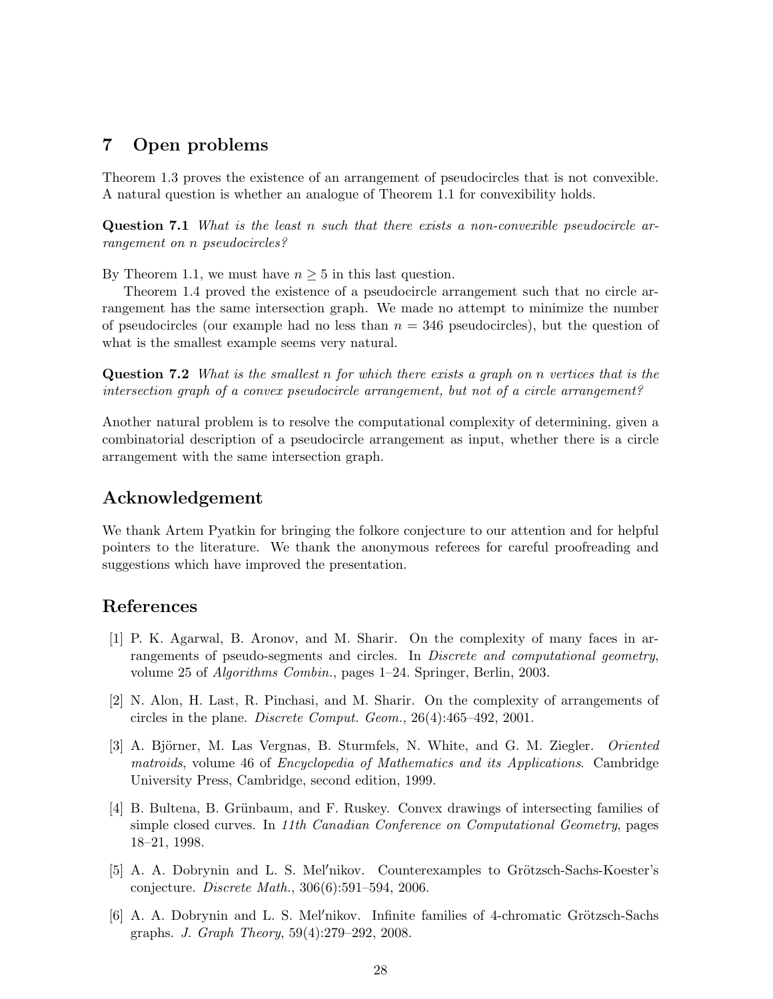# 7 Open problems

Theorem 1.3 proves the existence of an arrangement of pseudocircles that is not convexible. A natural question is whether an analogue of Theorem 1.1 for convexibility holds.

Question 7.1 What is the least n such that there exists a non-convexible pseudocircle arrangement on n pseudocircles?

By Theorem 1.1, we must have  $n \geq 5$  in this last question.

Theorem 1.4 proved the existence of a pseudocircle arrangement such that no circle arrangement has the same intersection graph. We made no attempt to minimize the number of pseudocircles (our example had no less than  $n = 346$  pseudocircles), but the question of what is the smallest example seems very natural.

**Question 7.2** What is the smallest n for which there exists a graph on n vertices that is the intersection graph of a convex pseudocircle arrangement, but not of a circle arrangement?

Another natural problem is to resolve the computational complexity of determining, given a combinatorial description of a pseudocircle arrangement as input, whether there is a circle arrangement with the same intersection graph.

# Acknowledgement

We thank Artem Pyatkin for bringing the folkore conjecture to our attention and for helpful pointers to the literature. We thank the anonymous referees for careful proofreading and suggestions which have improved the presentation.

# References

- [1] P. K. Agarwal, B. Aronov, and M. Sharir. On the complexity of many faces in arrangements of pseudo-segments and circles. In *Discrete and computational geometry*, volume 25 of Algorithms Combin., pages 1–24. Springer, Berlin, 2003.
- [2] N. Alon, H. Last, R. Pinchasi, and M. Sharir. On the complexity of arrangements of circles in the plane. Discrete Comput. Geom., 26(4):465–492, 2001.
- [3] A. Björner, M. Las Vergnas, B. Sturmfels, N. White, and G. M. Ziegler. *Oriented* matroids, volume 46 of Encyclopedia of Mathematics and its Applications. Cambridge University Press, Cambridge, second edition, 1999.
- [4] B. Bultena, B. Grünbaum, and F. Ruskey. Convex drawings of intersecting families of simple closed curves. In 11th Canadian Conference on Computational Geometry, pages 18–21, 1998.
- [5] A. A. Dobrynin and L. S. Mel'nikov. Counterexamples to Grötzsch-Sachs-Koester's conjecture. Discrete Math., 306(6):591–594, 2006.
- $[6]$  A. A. Dobrynin and L. S. Mel'nikov. Infinite families of 4-chromatic Grötzsch-Sachs graphs. J. Graph Theory, 59(4):279–292, 2008.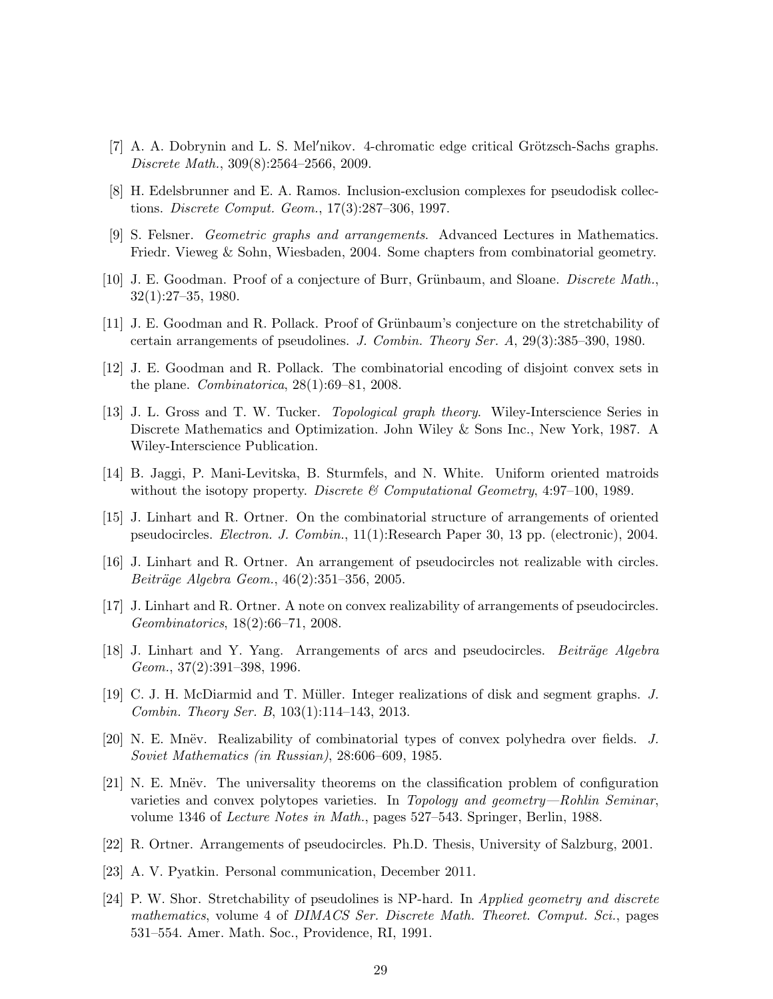- $[7]$  A. A. Dobrynin and L. S. Mel'nikov. 4-chromatic edge critical Grötzsch-Sachs graphs. Discrete Math., 309(8):2564–2566, 2009.
- [8] H. Edelsbrunner and E. A. Ramos. Inclusion-exclusion complexes for pseudodisk collections. Discrete Comput. Geom., 17(3):287–306, 1997.
- [9] S. Felsner. Geometric graphs and arrangements. Advanced Lectures in Mathematics. Friedr. Vieweg & Sohn, Wiesbaden, 2004. Some chapters from combinatorial geometry.
- [10] J. E. Goodman. Proof of a conjecture of Burr, Grünbaum, and Sloane. *Discrete Math.*, 32(1):27–35, 1980.
- [11] J. E. Goodman and R. Pollack. Proof of Grünbaum's conjecture on the stretchability of certain arrangements of pseudolines. J. Combin. Theory Ser. A, 29(3):385–390, 1980.
- [12] J. E. Goodman and R. Pollack. The combinatorial encoding of disjoint convex sets in the plane. *Combinatorica*,  $28(1):69-81$ ,  $2008$ .
- [13] J. L. Gross and T. W. Tucker. Topological graph theory. Wiley-Interscience Series in Discrete Mathematics and Optimization. John Wiley & Sons Inc., New York, 1987. A Wiley-Interscience Publication.
- [14] B. Jaggi, P. Mani-Levitska, B. Sturmfels, and N. White. Uniform oriented matroids without the isotopy property. Discrete & Computational Geometry, 4:97-100, 1989.
- [15] J. Linhart and R. Ortner. On the combinatorial structure of arrangements of oriented pseudocircles. Electron. J. Combin., 11(1):Research Paper 30, 13 pp. (electronic), 2004.
- [16] J. Linhart and R. Ortner. An arrangement of pseudocircles not realizable with circles.  $Beitr\ddot{a}ge Algebra Geom., 46(2):351-356, 2005.$
- [17] J. Linhart and R. Ortner. A note on convex realizability of arrangements of pseudocircles. Geombinatorics, 18(2):66–71, 2008.
- [18] J. Linhart and Y. Yang. Arrangements of arcs and pseudocircles. *Beiträge Algebra* Geom., 37(2):391–398, 1996.
- [19] C. J. H. McDiarmid and T. M¨uller. Integer realizations of disk and segment graphs. J. Combin. Theory Ser. B, 103(1):114–143, 2013.
- [20] N. E. Mnëv. Realizability of combinatorial types of convex polyhedra over fields.  $J$ . Soviet Mathematics (in Russian), 28:606–609, 1985.
- [21] N. E. Mnëv. The universality theorems on the classification problem of configuration varieties and convex polytopes varieties. In Topology and geometry—Rohlin Seminar, volume 1346 of Lecture Notes in Math., pages 527–543. Springer, Berlin, 1988.
- [22] R. Ortner. Arrangements of pseudocircles. Ph.D. Thesis, University of Salzburg, 2001.
- [23] A. V. Pyatkin. Personal communication, December 2011.
- [24] P. W. Shor. Stretchability of pseudolines is NP-hard. In Applied geometry and discrete mathematics, volume 4 of DIMACS Ser. Discrete Math. Theoret. Comput. Sci., pages 531–554. Amer. Math. Soc., Providence, RI, 1991.